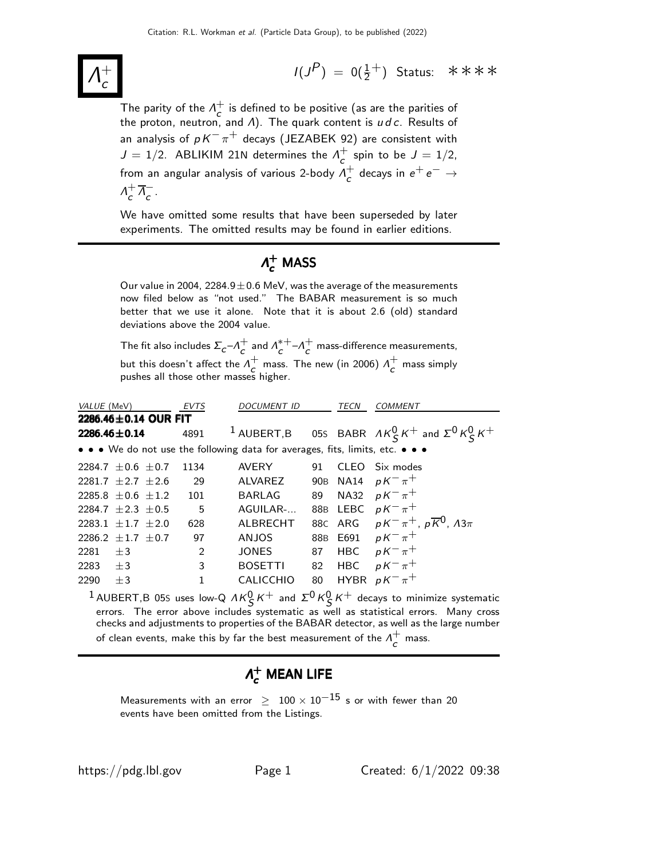Λ  $+$ c

 $I(J^P) = 0(\frac{1}{2}^+)$  Status: \*\*\*\*

The parity of the  $\Lambda_c^+$  $\overline{c}^+$  is defined to be positive (as are the parities of the proton, neutron, and  $\varLambda$ ). The quark content is  $u\,d\,c.$  Results of an analysis of  $pK^-\pi^+$  decays (JEZABEK 92) are consistent with  $J = 1/2$ . ABLIKIM 21N determines the  $\Lambda_c^+$  $\int_{c}^{+}$  spin to be  $J = 1/2$ , from an angular analysis of various 2-body  $\Lambda_{\mathcal{L}}^{+}$  $_c^+$  decays in  $e^+e^- \rightarrow$  $\Lambda_c^+$  $\frac{1}{c}$   $\frac{1}{\Lambda_c}$  $\frac{-}{c}$ .

We have omitted some results that have been superseded by later experiments. The omitted results may be found in earlier editions.

# $\Lambda_{\bm{c}}^+$  MASS

Our value in 2004, 2284.9 $\pm$ 0.6 MeV, was the average of the measurements now filed below as "not used." The BABAR measurement is so much better that we use it alone. Note that it is about 2.6 (old) standard deviations above the 2004 value.

The fit also includes  $\Sigma_c$ – $\Lambda_c^+$  $\frac{1}{c}$  and  $\Lambda_c^{*+}$  $_{c}^{*+}-A_{c}^{+}$  $\tau_c$  mass-difference measurements, but this doesn't affect the  $\Lambda^+_\epsilon$  $\sigma$  mass. The new (in 2006)  $\Lambda_c^+$  $\overline{c}$  mass simply pushes all those other masses higher.

| VALUE (MeV)                |      | <b>EVTS</b> | <b>DOCUMENT ID</b>                                                            |     | <b>TECN</b> | <b>COMMENT</b>                                                       |
|----------------------------|------|-------------|-------------------------------------------------------------------------------|-----|-------------|----------------------------------------------------------------------|
| 2286.46 $\pm$ 0.14 OUR FIT |      |             |                                                                               |     |             |                                                                      |
| $2286.46 \pm 0.14$         |      | 4891        |                                                                               |     |             | <sup>1</sup> AUBERT,B 05S BABR $AK_S^0 K^+$ and $\Sigma^0 K_S^0 K^+$ |
|                            |      |             | • • • We do not use the following data for averages, fits, limits, etc. • • • |     |             |                                                                      |
| 2284.7 $\pm$ 0.6 $\pm$ 0.7 |      | 1134        | <b>AVERY</b>                                                                  | 91  |             | CLEO Six modes                                                       |
| 2281.7 $\pm$ 2.7 $\pm$ 2.6 |      | 29          | ALVAREZ                                                                       |     |             | 90B NA14 $pK^{-}\pi^{+}$                                             |
| $2285.8 + 0.6 + 1.2$       |      | 101         | <b>BARLAG</b>                                                                 | 89  |             | NA32 $pK^{-}\pi^{+}$                                                 |
| 2284.7 $\pm 2.3$ $\pm 0.5$ |      | 5           | AGUILAR-                                                                      |     |             | 88B LEBC $pK^{-}\pi^{+}$                                             |
| $2283.1 + 1.7 + 2.0$       |      | 628         | ALBRECHT                                                                      |     |             | 88C ARG $pK^{-}\pi^{+}$ , $p\overline{K}^{0}$ , $\Lambda 3\pi$       |
| 2286.2 $\pm$ 1.7 $\pm$ 0.7 |      | 97          | <b>ANJOS</b>                                                                  | 88B |             | E691 $pK^{-}\pi^{+}$                                                 |
| 2281                       | $+3$ | 2           | JONES                                                                         | 87  | <b>HBC</b>  | $pK^{-}\pi^{+}$                                                      |
| 2283                       | $+3$ | 3           | <b>BOSETTI</b>                                                                | 82  | <b>HBC</b>  | $pK^{-}\pi^{+}$                                                      |
| 2290                       | $+3$ | 1           | <b>CALICCHIO</b>                                                              | 80  |             | HYBR $pK^{-}\pi^{+}$                                                 |

<sup>1</sup> AUBERT,B 05S uses low-Q  $\Lambda K_S^0 K^+$  and  $\Sigma^0 K_S^0 K^+$  decays to minimize systematic errors. The error above includes systematic as well as statistical errors. Many cross checks and adjustments to properties of the BABAR detector, as well as the large number of clean events, make this by far the best measurement of the  $\Lambda_{\varepsilon}^{+}$  $\overline{c}$  mass.

# $\Lambda_c^+$  MEAN LIFE

Measurements with an error  $\geq 100 \times 10^{-15}$  s or with fewer than 20 events have been omitted from the Listings.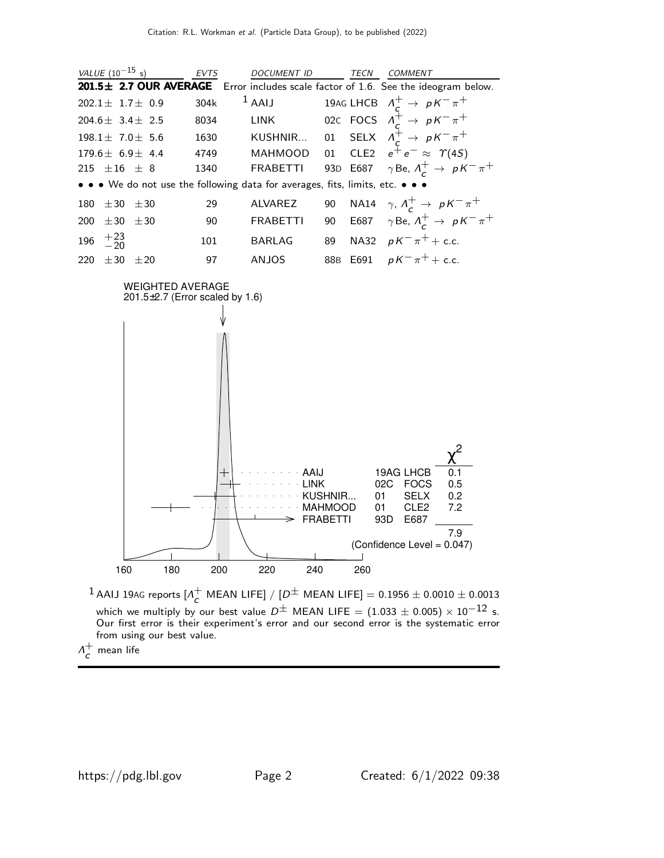|     | <i>VALUE</i> $(10^{-15} s)$ |                         | <b>EVTS</b> | <b>DOCUMENT ID</b>                                                            |    | <b>TECN</b> | <i>COMMENT</i>                                                                     |
|-----|-----------------------------|-------------------------|-------------|-------------------------------------------------------------------------------|----|-------------|------------------------------------------------------------------------------------|
|     |                             |                         |             |                                                                               |    |             | 201.5± 2.7 OUR AVERAGE Error includes scale factor of 1.6. See the ideogram below. |
|     |                             | $202.1 \pm 1.7 \pm 0.9$ | 304k        |                                                                               |    |             | <sup>1</sup> AAIJ 19AG LHCB $\Lambda_c^+ \rightarrow pK^-\pi^+$                    |
|     |                             | $204.6 \pm 3.4 \pm 2.5$ | 8034        | LINK                                                                          |    |             | 02c FOCS $\Lambda_c^+ \rightarrow pK^-\pi^+$                                       |
|     |                             | $198.1 \pm 7.0 \pm 5.6$ | 1630        |                                                                               |    |             | KUSHNIR 01 SELX $\Lambda_{\alpha}^{\pm} \rightarrow pK^{-}\pi^{+}$                 |
|     |                             | $179.6 \pm 6.9 \pm 4.4$ | 4749        | <b>MAHMOOD</b>                                                                |    |             | 01 CLE2 $e^+e^- \approx \Upsilon(4S)$                                              |
|     | $215 + 16 + 8$              |                         | 1340        | <b>FRABETTI</b>                                                               |    |             | 93D E687 $\gamma$ Be, $\Lambda_c^+ \rightarrow pK^- \pi^+$                         |
|     |                             |                         |             | • • • We do not use the following data for averages, fits, limits, etc. • • • |    |             |                                                                                    |
| 180 | $\pm 30 \pm 30$             |                         | 29          | <b>ALVAREZ</b>                                                                | 90 |             | NA14 $\gamma$ , $\Lambda_c^+ \rightarrow pK^- \pi^+$                               |
| 200 | $\pm 30$                    | ±30                     | 90          | <b>FRABETTI</b>                                                               | 90 |             | E687 $\gamma$ Be, $\Lambda_c^+ \to pK^-\pi^+$                                      |
|     | 196 $^{+23}_{-20}$          |                         | 101         | <b>BARLAG</b>                                                                 | 89 |             | NA32 $pK^{-}\pi^{+}$ + c.c.                                                        |
| 220 | $+30$                       | $+20$                   | 97          | <b>ANJOS</b>                                                                  |    |             | 88B E691 $pK^{-}\pi^{+}$ + c.c.                                                    |



 $^1$  AAIJ 19AG reports  $[$ A $^+_c$  $\frac{1}{c}$  MEAN LIFE] / [ $D^\pm$  MEAN LIFE] = 0.1956  $\pm$  0.0010  $\pm$  0.0013 which we multiply by our best value  $D^\pm$  MEAN LIFE =  $(1.033\pm 0.005)\times 10^{-12}$  s. Our first error is their experiment's error and our second error is the systematic error from using our best value.

 $\Lambda^+$  $\mathsf{C}^{\top}$  mean life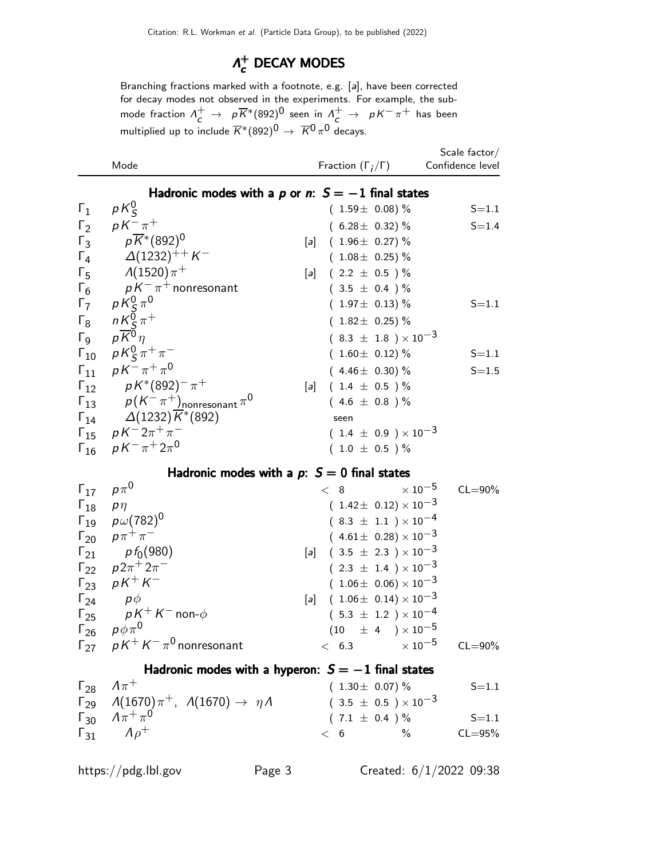### $Λ^+$  $\vec{c}$  DECAY MODES

Branching fractions marked with a footnote, e.g. [a], have been corrected for decay modes not observed in the experiments. For example, the submode fraction  $\Lambda^+_c\to -\rho\overline{K}^*(892)^0$  seen in  $\Lambda^+_c\to -\rho\overline{K}^-\pi^+$  has been multiplied up to include  $\overline{K}^{*}(892)^{\overline{0}}\rightarrow \overline{K}{}^{\overline{0}}\pi^{\overline{0}}$  decays.

|      |                              | Scale factor/    |
|------|------------------------------|------------------|
| Mode | Fraction $(\Gamma_i/\Gamma)$ | Confidence level |

## Hadronic modes with a  $p$  or n:  $S = -1$  final states

| $\Gamma_1$            | $pK_{\mathcal{S}}^0$                                       |                   | $(1.59 \pm 0.08)\%$            | $S = 1.1$ |
|-----------------------|------------------------------------------------------------|-------------------|--------------------------------|-----------|
| $\Gamma_2$            | $pK^{-}\pi^{+}$                                            |                   | $(6.28 \pm 0.32)\%$            | $S = 1.4$ |
| $\Gamma_3$            | $p\overline{K}^*(892)^0$                                   |                   | [a] $(1.96 \pm 0.27)\%$        |           |
| $\Gamma_4$            | $\Delta(1232)^{++}$ K $^-$                                 |                   | $(1.08 \pm 0.25)\%$            |           |
| $\Gamma_5$            | $\Lambda(1520)\pi^+$                                       | $\lceil a \rceil$ | $(2.2 \pm 0.5) \%$             |           |
| $\Gamma_6$            | $\rho\,K^-\,\pi^+$ nonresonant                             |                   | $(3.5 \pm 0.4) \%$             |           |
| $\Gamma_7$            |                                                            |                   | $(1.97 \pm 0.13)\%$            | $S = 1.1$ |
| $\Gamma_8$            |                                                            |                   | $(1.82 \pm 0.25)\%$            |           |
| $\Gamma$ <sub>9</sub> | $p\frac{K^0_S\pi^0}{n\frac{K^0_S\pi^+}{K^0\eta}}$          |                   | $(8.3 \pm 1.8) \times 10^{-3}$ |           |
| $\Gamma_{10}$         | $pK_{\mathcal{S}}^{0}\pi^{+}\pi^{-}$                       |                   | $(1.60 \pm 0.12)\%$            | $S = 1.1$ |
|                       | $\Gamma_{11}$ $pK^{-}\pi^{+}\pi^{0}$                       |                   | $(4.46 \pm 0.30)\%$            | $S = 1.5$ |
|                       | $\Gamma_{12}$ $pK^*(892)^{-}\pi^+$                         |                   | [a] $(1.4 \pm 0.5)$ %          |           |
|                       | $\Gamma_{13}$ $p(K^-\pi^+)$ <sub>nonresonant</sub> $\pi^0$ |                   | $(4.6 \pm 0.8)$ %              |           |
|                       | $\Gamma_{14}$ $\Delta(1232)\overline{K}^*(892)$            |                   | seen                           |           |
|                       | $\Gamma_{15}$ $pK^-2\pi^+\pi^-$                            |                   | $(1.4 \pm 0.9) \times 10^{-3}$ |           |
|                       | $\Gamma_{16}$ $pK^{-}\pi^{+}2\pi^{0}$                      |                   | $(1.0 \pm 0.5) \%$             |           |
|                       |                                                            |                   |                                |           |

### Hadronic modes with a  $p: S = 0$  final states

| $\Gamma_{17}$ $\rho \pi^0$ |                                          | < 8                                  | $\times$ 10 $^{-5}$ CL=90%       |             |
|----------------------------|------------------------------------------|--------------------------------------|----------------------------------|-------------|
| $\Gamma_{18}$ p $\eta$     |                                          |                                      | $(1.42 \pm 0.12) \times 10^{-3}$ |             |
|                            | $\Gamma_{19}$ $p\omega(782)^{0}$         |                                      | $(8.3 \pm 1.1) \times 10^{-4}$   |             |
|                            | $\Gamma_{20}$ $p\pi^{+}\pi^{-}$          |                                      | $(4.61 \pm 0.28) \times 10^{-3}$ |             |
|                            | $\Gamma_{21}$ pf <sub>0</sub> (980)      | [a] $(3.5 \pm 2.3) \times 10^{-3}$   |                                  |             |
|                            | $\Gamma_{22}$ $p2\pi^+2\pi^-$            |                                      | $(2.3 \pm 1.4) \times 10^{-3}$   |             |
|                            | $\Gamma_{23}$ $pK^{+}K^{-}$              |                                      | $(1.06 \pm 0.06) \times 10^{-3}$ |             |
|                            | $\Gamma_{24}$ $p\phi$                    | [a] $(1.06 \pm 0.14) \times 10^{-3}$ |                                  |             |
|                            | $\Gamma_{25}$ $pK^{+}K^{-}$ non- $\phi$  |                                      | $(5.3 \pm 1.2) \times 10^{-4}$   |             |
|                            | $\Gamma_{26}$ $p\phi\pi^0$               |                                      | $(10 \pm 4) \times 10^{-5}$      |             |
|                            | $\Gamma_{27}$ $pK^+K^-\pi^0$ nonresonant |                                      | $< 6.3$ $\times 10^{-5}$         | $CL = 90\%$ |

## Hadronic modes with a hyperon:  $S = -1$  final states

| $\Gamma_{28}$ $\Lambda \pi^+$                                                | $(1.30 \pm 0.07)$ % |                                | $S = 1.1$   |
|------------------------------------------------------------------------------|---------------------|--------------------------------|-------------|
| $\Gamma_{29}$ $\Lambda(1670)\pi^+$ , $\Lambda(1670) \rightarrow \eta\Lambda$ |                     | $(3.5 \pm 0.5) \times 10^{-3}$ |             |
| $\Gamma_{30}$ $A\pi^{+}\pi^{0}$                                              | $(7.1 \pm 0.4) \%$  |                                | $S = 1.1$   |
| $\Gamma_{31}$ $\Lambda \rho^+$                                               |                     |                                | $CL = 95\%$ |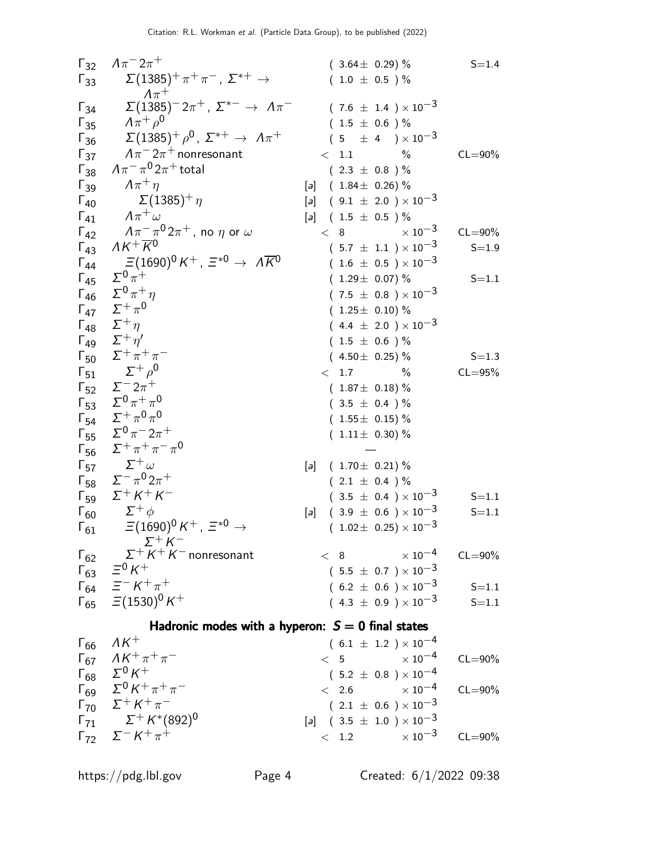| Γ <sub>3</sub>  | $A\pi^- 2\pi^+$                                                    | (3.64 ± 0.29 % S=1.4                |       |
|-----------------|--------------------------------------------------------------------|-------------------------------------|-------|
| Γ <sub>33</sub> | $\Sigma(1385)^{-} \pi^+ \pi^-$ , $\Sigma^{*+} \rightarrow$         | (7.6 ± 1.4) × 10 <sup>-3</sup>      |       |
| Γ <sub>34</sub> | $\Sigma(1385)^{+} \pi^0$ , $\Sigma^{*+} \rightarrow \Lambda \pi^-$ | (7.6 ± 1.4) × 10 <sup>-3</sup>      |       |
| Γ <sub>35</sub> | $A\pi^+ \rho^0$                                                    | (1.5 ± 0.6) %                       |       |
| Γ <sub>36</sub> | $\Lambda \pi^- 2\pi^+$ nonresonant                                 | (1.5 ± 0.6) %                       |       |
| Γ <sub>37</sub> | $A\pi^- \pi^0 2\pi^+$ total                                        | (2.3 ± 0.8) %                       |       |
| Γ <sub>40</sub> | $\Sigma(1385)^{+} \eta$                                            | [a] (1.84 ± 0.26) %                 |       |
| Γ <sub>41</sub> | $A\pi^+$                                                           | [b] (1.84 ± 0.2) × 10 <sup>-3</sup> |       |
| Γ <sub>42</sub> | $\Lambda K^+$                                                      | [c] (1.5 ± 0.5) %                   |       |
| Γ <sub>43</sub> | $\Lambda K^+$                                                      | [d] (1.5 ± 0.5) × 10 <sup>-3</sup>  |       |
| Γ <sub>44</sub> | $\Xi(1690)^0 K^+$ , $\Xi^{*0} \rightarrow \Lambda \overline{K}^0$  | (1.29 ± 0.07) %                     | S=1.1 |
| Γ <sub>45</sub> |                                                                    |                                     |       |

 $\Gamma_{69}$  Σ<sup>0</sup> K<sup>+</sup> π<sup>+</sup> π  $(3.2 \pm 0.6) \times 10^{-4}$  CL=90%  $\Gamma_{70}$   $\Sigma^+ K^+ \pi$  $-$  (  $2.1 \pm 0.6$  )  $\times 10^{-3}$  $\Gamma_{71}$   $\Sigma^+ K^*(892)^0$  $[a]$  ( 3.5  $\pm$  1.0 )  $\times$  10<sup>-3</sup>  $\Gamma_{72}$   $\Sigma^- K^+ \pi$  $\frac{1.2}{\times 10^{-3}}$  CL=90%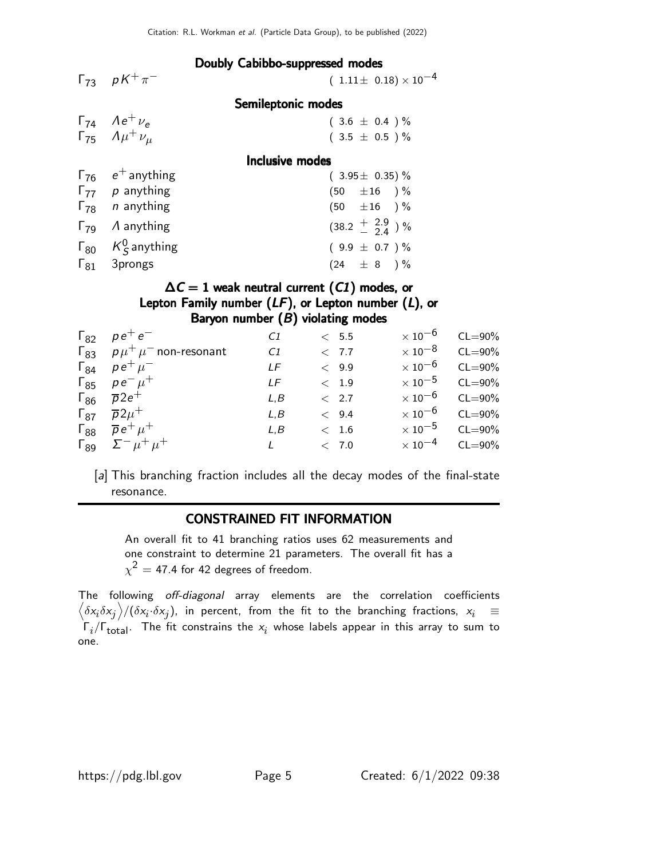Doubly Cabibbo-suppressed modes

| $\Gamma_{73}$ $pK^{+}\pi^{-}$         | $(1.11 \pm 0.18) \times 10^{-4}$ |
|---------------------------------------|----------------------------------|
|                                       | Semileptonic modes               |
| $\Gamma_{74}$ $Ae^{+} \nu_{e}$        | $(3.6 \pm 0.4) \%$               |
| $\Gamma_{75}$ $A\mu^{+}\nu_{\mu}$     | $(3.5 \pm 0.5) \%$               |
|                                       | Inclusive modes                  |
| $\Gamma_{76}$ $e^+$ anything          | $(3.95 \pm 0.35)\%$              |
| $\Gamma_{77}$ p anything              | $(50 \pm 16)$ %                  |
| $\Gamma_{78}$ <i>n</i> anything       | $(50 + 16)$ %                    |
| $\Gamma_{79}$ A anything              | $(38.2 + \frac{2.9}{2.4})$ %     |
| $\Gamma_{80}$ K <sub>S</sub> anything | $(9.9 \pm 0.7) \%$               |
| $\Gamma_{81}$ 3prongs                 | $(24 \pm 8) \%$                  |

## $\Delta C = 1$  weak neutral current (C1) modes, or Lepton Family number  $(LF)$ , or Lepton number  $(L)$ , or Baryon number  $(B)$  violating modes

| $\Gamma_{82}$ $\rho e^+ e^-$             | C <sub>1</sub> | < 5.5         | $\times$ 10 $^{-6}$ | $CL = 90\%$             |
|------------------------------------------|----------------|---------------|---------------------|-------------------------|
| $\Gamma_{83}$ $p\mu^+\mu^-$ non-resonant | C <sub>1</sub> | < 7.7         |                     | $\times 10^{-8}$ CL=90% |
| $\Gamma_{84}$ $\rho e^{+} \mu^{-}$       | LF             | $\langle 9.9$ | $\times$ 10 $^{-6}$ | $CL = 90\%$             |
| $\Gamma_{85}$ $\rho e^{-} \mu^{+}$       | I F            | < 1.9         |                     | $\times 10^{-5}$ CL=90% |
| $\Gamma_{86}$ $\overline{p}2e^+$         | L.B            | < 2.7         |                     | $\times 10^{-6}$ CL=90% |
| $\Gamma_{87}$ $\overline{p}2\mu^+$       | L.B            | < 9.4         |                     | $\times 10^{-6}$ CL=90% |
| $\Gamma_{88}$ $\overline{p}e^+ \mu^+$    | L.B            | < 1.6         |                     | $\times 10^{-5}$ CL=90% |
| $\Gamma_{89}$ $\Sigma^- \mu^+ \mu^+$     |                | < 7.0         |                     | $\times 10^{-4}$ CL=90% |

[a] This branching fraction includes all the decay modes of the final-state resonance.

### CONSTRAINED FIT INFORMATION

An overall fit to 41 branching ratios uses 62 measurements and one constraint to determine 21 parameters. The overall fit has a  $\chi^2=$  47.4 for 42 degrees of freedom.

The following off-diagonal array elements are the correlation coefficients  $\left<\delta x_i\delta x_j\right>$ / $(\delta x_i\cdot\delta x_j)$ , in percent, from the fit to the branching fractions,  $x_i$   $\;\equiv$  $\Gamma_i/\Gamma_{\rm total}$ . The fit constrains the  $x_i$  whose labels appear in this array to sum to one.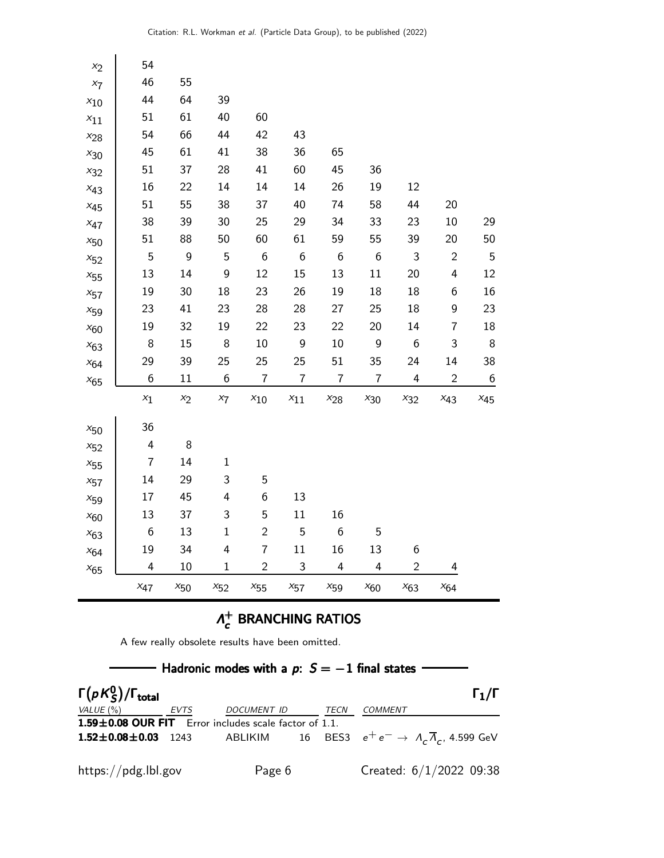| $x_2$    | 54               |          |                  |                  |                  |                         |                  |                  |                         |                  |
|----------|------------------|----------|------------------|------------------|------------------|-------------------------|------------------|------------------|-------------------------|------------------|
| $x_7$    | 46               | 55       |                  |                  |                  |                         |                  |                  |                         |                  |
| $x_{10}$ | 44               | 64       | 39               |                  |                  |                         |                  |                  |                         |                  |
| $x_{11}$ | 51               | 61       | 40               | 60               |                  |                         |                  |                  |                         |                  |
| $x_{28}$ | 54               | 66       | 44               | 42               | 43               |                         |                  |                  |                         |                  |
| $x_{30}$ | 45               | 61       | 41               | 38               | 36               | 65                      |                  |                  |                         |                  |
| $x_{32}$ | 51               | 37       | 28               | 41               | 60               | 45                      | 36               |                  |                         |                  |
| $x_{43}$ | 16               | 22       | 14               | 14               | 14               | 26                      | 19               | 12               |                         |                  |
| $x_{45}$ | 51               | 55       | 38               | 37               | 40               | 74                      | 58               | 44               | 20                      |                  |
| $x_{47}$ | 38               | 39       | 30               | 25               | 29               | 34                      | 33               | 23               | $10\,$                  | 29               |
| $x_{50}$ | 51               | 88       | 50               | 60               | 61               | 59                      | 55               | 39               | 20                      | 50               |
| $x_{52}$ | 5                | 9        | 5                | $\boldsymbol{6}$ | $\boldsymbol{6}$ | $\boldsymbol{6}$        | $\boldsymbol{6}$ | $\mathfrak{Z}$   | $\sqrt{2}$              | 5                |
| $x_{55}$ | 13               | 14       | $\overline{9}$   | 12               | 15               | 13                      | 11               | 20               | $\overline{\mathbf{4}}$ | 12               |
| $x_{57}$ | 19               | 30       | 18               | 23               | 26               | 19                      | 18               | 18               | 6                       | 16               |
| $x_{59}$ | 23               | 41       | 23               | 28               | 28               | 27                      | 25               | 18               | 9                       | 23               |
| $x_{60}$ | 19               | 32       | 19               | 22               | 23               | 22                      | 20               | 14               | $\overline{7}$          | 18               |
| $x_{63}$ | $\,8\,$          | 15       | 8                | 10               | $\boldsymbol{9}$ | 10                      | $\boldsymbol{9}$ | $\boldsymbol{6}$ | 3                       | 8                |
| $x_{64}$ | 29               | 39       | 25               | 25               | 25               | 51                      | 35               | 24               | 14                      | 38               |
| $x_{65}$ | $\boldsymbol{6}$ | 11       | $\boldsymbol{6}$ | $\overline{7}$   | $\overline{7}$   | $\overline{7}$          | $\overline{7}$   | 4                | $\overline{c}$          | $\boldsymbol{6}$ |
|          | $x_1$            | $x_2$    | $x_7$            | $x_{10}$         | $x_{11}$         | $x_{28}$                | $x_{30}$         | $x_{32}$         | $x_{43}$                | $x_{45}$         |
| $x_{50}$ | 36               |          |                  |                  |                  |                         |                  |                  |                         |                  |
| $x_{52}$ | $\pmb{4}$        | 8        |                  |                  |                  |                         |                  |                  |                         |                  |
| $x_{55}$ | $\overline{7}$   | 14       | $\mathbf 1$      |                  |                  |                         |                  |                  |                         |                  |
| $x_{57}$ | 14               | 29       | 3                | 5                |                  |                         |                  |                  |                         |                  |
| $x_{59}$ | 17               | 45       | 4                | $\boldsymbol{6}$ | 13               |                         |                  |                  |                         |                  |
| $x_{60}$ | 13               | 37       | 3                | 5                | 11               | 16                      |                  |                  |                         |                  |
| $x_{63}$ | $\boldsymbol{6}$ | 13       | $\mathbf{1}$     | $\overline{c}$   | 5                | $\boldsymbol{6}$        | 5                |                  |                         |                  |
| $x_{64}$ | 19               | 34       | 4                | $\overline{7}$   | 11               | 16                      | 13               | 6                |                         |                  |
| $x_{65}$ | 4                | 10       | $\mathbf 1$      | $\overline{c}$   | 3                | $\overline{\mathbf{4}}$ | 4                | $\overline{c}$   | 4                       |                  |
|          | $x_{47}$         | $x_{50}$ | $x_{52}$         | $x_{55}$         | $x_{57}$         | $x_{59}$                | $x_{60}$         | $x_{63}$         | $x_{64}$                |                  |

### $Λ^+_{c}$  $_{c}^{+}$  BRANCHING RATIOS

A few really obsolete results have been omitted.

| Hadronic modes with a $p: S = -1$ final states |      |                                                                                               |  |      |                           |                   |  |  |  |
|------------------------------------------------|------|-----------------------------------------------------------------------------------------------|--|------|---------------------------|-------------------|--|--|--|
| $\Gamma(pK_S^0)/\Gamma_{\text{total}}$         |      |                                                                                               |  |      |                           | $\Gamma_1/\Gamma$ |  |  |  |
| VALUE $(\% )$                                  | EVTS | DOCUMENT ID                                                                                   |  | TECN | <b>COMMENT</b>            |                   |  |  |  |
|                                                |      | 1.59±0.08 OUR FIT Error includes scale factor of 1.1.                                         |  |      |                           |                   |  |  |  |
|                                                |      | <b>1.52±0.08±0.03</b> 1243 ABLIKIM 16 BES3 $e^+e^- \rightarrow A_c\overline{A}_c$ , 4.599 GeV |  |      |                           |                   |  |  |  |
| https://pdg.lbl.gov                            |      | Page 6                                                                                        |  |      | Created: $6/1/2022$ 09:38 |                   |  |  |  |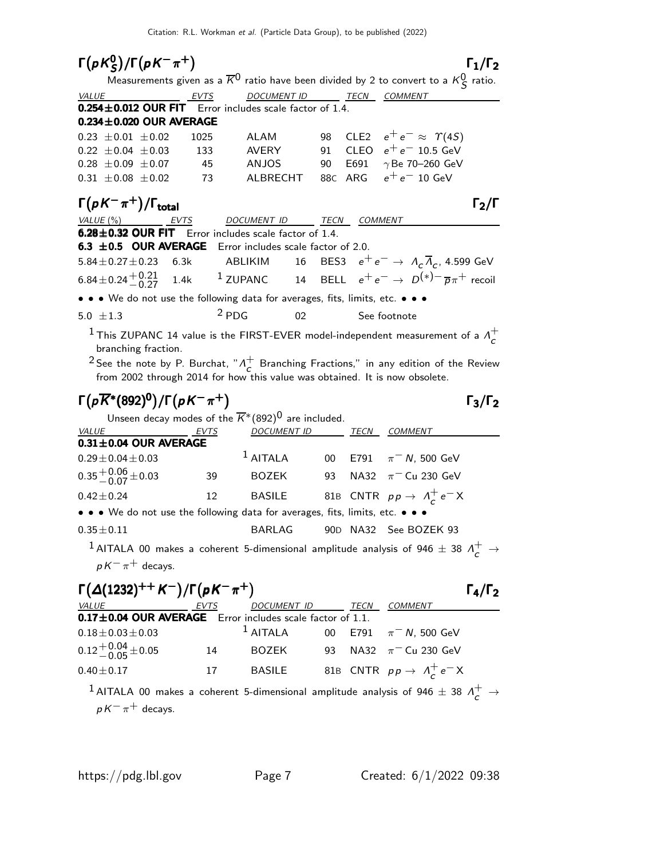|                                                                                                            | Citation: R.L. Workman et al. (Particle Data Group), to be published (2022) |                                            |      |                |                                                                                                                                                                                                                     |                     |
|------------------------------------------------------------------------------------------------------------|-----------------------------------------------------------------------------|--------------------------------------------|------|----------------|---------------------------------------------------------------------------------------------------------------------------------------------------------------------------------------------------------------------|---------------------|
| $\Gamma(pK_S^0)/\Gamma(pK^-\pi^+)$                                                                         |                                                                             |                                            |      |                |                                                                                                                                                                                                                     | $\Gamma_1/\Gamma_2$ |
|                                                                                                            |                                                                             |                                            |      |                | Measurements given as a $\overline{K}^0$ ratio have been divided by 2 to convert to a $\kappa_S^0$ ratio.                                                                                                           |                     |
| VALUE<br>$0.254 \pm 0.012$ OUR FIT Error includes scale factor of 1.4.                                     | EVTS                                                                        | <b>DOCUMENT ID</b>                         |      |                | <u>__ TECN __ COMMENT</u>                                                                                                                                                                                           |                     |
| $0.234 \pm 0.020$ OUR AVERAGE                                                                              |                                                                             |                                            |      |                |                                                                                                                                                                                                                     |                     |
| $0.23 \pm 0.01 \pm 0.02$                                                                                   | 1025                                                                        |                                            |      |                | ALAM 98 CLE2 $e^+e^- \approx \varUpsilon(4S)$                                                                                                                                                                       |                     |
| $0.22 \pm 0.04 \pm 0.03$                                                                                   | 133                                                                         |                                            |      |                | AVERY $91$ CLEO $e^+e^-$ 10.5 GeV                                                                                                                                                                                   |                     |
| $0.28 \pm 0.09 \pm 0.07$                                                                                   | 45                                                                          |                                            |      |                | ANJOS 90 E691 $\gamma$ Be 70–260 GeV                                                                                                                                                                                |                     |
| $0.31 \pm 0.08 \pm 0.02$                                                                                   | 73                                                                          |                                            |      |                | ALBRECHT 88c ARG $e^+e^-$ 10 GeV                                                                                                                                                                                    |                     |
| $\Gamma(pK^{-}\pi^{+})/\Gamma_{\text{total}}$                                                              |                                                                             |                                            |      |                |                                                                                                                                                                                                                     | $\Gamma_2/\Gamma$   |
| VALUE (%)                                                                                                  | EVTS                                                                        | DOCUMENT ID                                | TECN | <b>COMMENT</b> |                                                                                                                                                                                                                     |                     |
| 6.28±0.32 OUR FIT Error includes scale factor of 1.4.                                                      |                                                                             |                                            |      |                |                                                                                                                                                                                                                     |                     |
| 6.3 ±0.5 OUR AVERAGE Error includes scale factor of 2.0.                                                   |                                                                             |                                            |      |                |                                                                                                                                                                                                                     |                     |
| $5.84 \pm 0.27 \pm 0.23$ 6.3k                                                                              |                                                                             |                                            |      |                | ABLIKIM 16 BES3 $e^+e^- \rightarrow \Lambda_c \overline{\Lambda}_c$ , 4.599 GeV                                                                                                                                     |                     |
| 6.84 ± 0.24 $^{+0.21}_{-0.27}$ 1.4k <sup>1</sup> ZUPANC 14 BELL $e^+e^- \to D^{(*)-} \bar{p} \pi^+$ recoil |                                                                             |                                            |      |                |                                                                                                                                                                                                                     |                     |
| • • • We do not use the following data for averages, fits, limits, etc. • • •                              |                                                                             |                                            |      |                |                                                                                                                                                                                                                     |                     |
| 5.0 $\pm 1.3$                                                                                              | $2$ PDG                                                                     | 02                                         |      |                | See footnote                                                                                                                                                                                                        |                     |
| branching fraction.                                                                                        | from 2002 through 2014 for how this value was obtained. It is now obsolete. |                                            |      |                | <sup>1</sup> This ZUPANC 14 value is the FIRST-EVER model-independent measurement of a $\Lambda_c^+$<br><sup>2</sup> See the note by P. Burchat, " $\Lambda_c^+$ Branching Fractions," in any edition of the Review |                     |
| $\Gamma(p\overline{K}^*(892)^0)/\Gamma(pK^-\pi^+)$                                                         | Unseen decay modes of the $\overline{K}^{*}(892)^{0}$ are included.         |                                            |      |                |                                                                                                                                                                                                                     | $\Gamma_3/\Gamma_2$ |
| VALUE                                                                                                      | EVTS                                                                        | <u>DOCUMENT ID _______ TECN __ COMMENT</u> |      |                |                                                                                                                                                                                                                     |                     |
| $0.31 \pm 0.04$ OUR AVERAGE                                                                                |                                                                             |                                            |      |                |                                                                                                                                                                                                                     |                     |
| $0.29 \pm 0.04 \pm 0.03$                                                                                   |                                                                             | $1$ AITALA                                 |      |                | 00 E791 $\pi$ <sup>-</sup> N, 500 GeV                                                                                                                                                                               |                     |
| $0.35 + 0.06 + 0.03$                                                                                       | 39                                                                          | BOZEK                                      | 93   |                | NA32 $\pi$ <sup>-</sup> Cu 230 GeV                                                                                                                                                                                  |                     |
| $0.42 \pm 0.24$                                                                                            |                                                                             |                                            |      |                | 12 BASILE 81B CNTR $p p \rightarrow \Lambda_c^+ e^- X$                                                                                                                                                              |                     |
| • • • We do not use the following data for averages, fits, limits, etc. • • •                              |                                                                             |                                            |      |                |                                                                                                                                                                                                                     |                     |
| $0.35 \pm 0.11$                                                                                            |                                                                             | <b>BARLAG</b>                              |      |                | 90D NA32 See BOZEK 93                                                                                                                                                                                               |                     |
| $pK^{-}\pi^{+}$ decays.                                                                                    |                                                                             |                                            |      |                | $^{-1}$ AITALA 00 makes a coherent 5-dimensional amplitude analysis of 946 $\pm$ 38 $\Lambda_c^+$ $\rightarrow$                                                                                                     |                     |
| $\Gamma(\Delta(1232)^{++} K^-)/\Gamma(pK^-\pi^+)$<br>VALUE EVTS                                            |                                                                             | DOCUMENT ID TECN                           |      |                | <b>COMMENT</b>                                                                                                                                                                                                      | $\Gamma_4/\Gamma_2$ |

| <b>VALUE</b>                                              | EVTS | DOCUMENT ID                                               | TECN | <i>COMMENT</i>                                                                                               |
|-----------------------------------------------------------|------|-----------------------------------------------------------|------|--------------------------------------------------------------------------------------------------------------|
| 0.17±0.04 OUR AVERAGE Error includes scale factor of 1.1. |      |                                                           |      |                                                                                                              |
| $0.18 \pm 0.03 \pm 0.03$                                  |      | <sup>1</sup> AITALA 00 E791 $\pi$ <sup>-</sup> N, 500 GeV |      |                                                                                                              |
| $0.12 + 0.04 + 0.05$                                      | 14   | BOZEK 93                                                  |      | NA32 $\pi^-$ Cu 230 GeV                                                                                      |
| $0.40 \pm 0.17$                                           | 17   | <b>BASILE</b>                                             |      | 81B CNTR $p p \rightarrow \Lambda_c^+ e^- X$                                                                 |
|                                                           |      |                                                           |      | <sup>1</sup> AITALA 00 makes a coherent 5-dimensional amplitude analysis of 946 $\pm$ 38 $\Lambda_c^+$ $\to$ |
| $pK^{-}\pi^{+}$ decays.                                   |      |                                                           |      |                                                                                                              |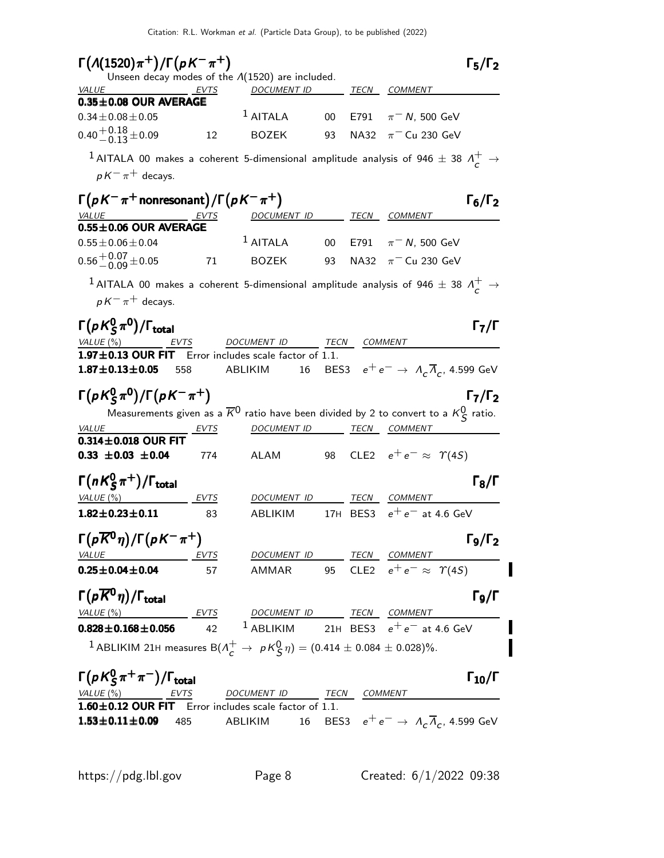| $\Gamma(A(1520)\pi^+)/\Gamma(\rho K^-\pi^+)$                                                                                            |      | Unseen decay modes of the $\Lambda(1520)$ are included.                                                                            |        |              |                                                                         | $\Gamma_5/\Gamma_2$      |
|-----------------------------------------------------------------------------------------------------------------------------------------|------|------------------------------------------------------------------------------------------------------------------------------------|--------|--------------|-------------------------------------------------------------------------|--------------------------|
| <b>VALUE</b>                                                                                                                            | EVTS | <b>DOCUMENT ID</b>                                                                                                                 |        |              | TECN COMMENT                                                            |                          |
| $0.35 \pm 0.08$ OUR AVERAGE                                                                                                             |      | $1$ AITALA                                                                                                                         | 00     | E791         |                                                                         |                          |
| $0.34 \pm 0.08 \pm 0.05$                                                                                                                |      |                                                                                                                                    |        |              | $\pi$ <sup>-</sup> N, 500 GeV                                           |                          |
| $0.40^{+0.18}_{-0.13}$ ± 0.09                                                                                                           | 12   | <b>BOZEK</b>                                                                                                                       | 93     | NA32         | $\pi$ <sup>-</sup> Cu 230 GeV                                           |                          |
| $^{-1}$ AITALA 00 makes a coherent 5-dimensional amplitude analysis of 946 $\pm$ 38 $\Lambda^+_{\cal C} \to$<br>$pK^{-}\pi^{+}$ decays. |      |                                                                                                                                    |        |              |                                                                         |                          |
| $\Gamma(pK^-\pi^+$ nonresonant)/ $\Gamma(pK^-\pi^+)$                                                                                    |      |                                                                                                                                    |        |              |                                                                         | $\Gamma_6/\Gamma_2$      |
| <b>VALUE</b>                                                                                                                            | EVTS | DOCUMENT ID                                                                                                                        |        | TECN         | COMMENT                                                                 |                          |
| $0.55 \pm 0.06$ OUR AVERAGE                                                                                                             |      |                                                                                                                                    |        |              |                                                                         |                          |
| $0.55 \pm 0.06 \pm 0.04$                                                                                                                |      | $1$ AITALA                                                                                                                         | $00\,$ | E791         | $\pi$ <sup>-</sup> N, 500 GeV                                           |                          |
| $0.56 + 0.07 + 0.05$                                                                                                                    | 71   | <b>BOZEK</b>                                                                                                                       | 93     | NA32         | $\pi$ <sup>-</sup> Cu 230 GeV                                           |                          |
| $^1$ AITALA 00 makes a coherent 5-dimensional amplitude analysis of 946 $\pm$ 38 $\Lambda^+_{\cal{C}} \rightarrow$                      |      |                                                                                                                                    |        |              |                                                                         |                          |
| $pK^{-}\pi^{+}$ decays.                                                                                                                 |      |                                                                                                                                    |        |              |                                                                         |                          |
| $\Gamma(\rho\,K^0_S\,\pi^0)/\Gamma_{\rm total}$                                                                                         |      |                                                                                                                                    |        |              |                                                                         | Г $_{\rm 7}/$ Г          |
| VALUE (%)                                                                                                                               | EVTS | DOCUMENT ID                                                                                                                        |        | TECN COMMENT |                                                                         |                          |
| $1.97\pm0.13$ OUR FIT                                                                                                                   |      | Error includes scale factor of 1.1.                                                                                                |        |              |                                                                         |                          |
| $1.87 \pm 0.13 \pm 0.05$                                                                                                                | 558  | 16<br>ABLIKIM                                                                                                                      |        |              | BES3 $e^+e^- \rightarrow A_c \overline{A}_c$ , 4.599 GeV                |                          |
| $\Gamma(pK_S^0\pi^0)/\Gamma(pK^-\pi^+)$                                                                                                 |      |                                                                                                                                    |        |              |                                                                         | $\Gamma_7/\Gamma_2$      |
|                                                                                                                                         |      | Measurements given as a $\overline{K}^0$ ratio have been divided by 2 to convert to a $\kappa_S^0$ ratio.                          |        |              |                                                                         |                          |
| <b>VALUE</b><br>$0.314 \pm 0.018$ OUR FIT                                                                                               | EVTS | DOCUMENT ID                                                                                                                        |        |              | <i>TECN COMMENT</i>                                                     |                          |
| $0.33 \pm 0.03 \pm 0.04$                                                                                                                | 774  | <b>ALAM</b>                                                                                                                        | 98     |              | CLE2 $e^+e^- \approx \Upsilon(4S)$                                      |                          |
| $\Gamma(nK_S^0\pi^+)/\Gamma_{\rm total}$                                                                                                |      |                                                                                                                                    |        |              |                                                                         | $\Gamma_8/\Gamma$        |
| VALUE (%)                                                                                                                               | EVTS | DOCUMENT ID                                                                                                                        |        | TECN         | <b>COMMENT</b>                                                          |                          |
| $1.82 \pm 0.23 \pm 0.11$                                                                                                                | 83   | <b>ABLIKIM</b>                                                                                                                     |        | 17H BES3     | $e^+e^-$ at 4.6 GeV                                                     |                          |
| $\Gamma(\rho \overline{K}{}^0 \eta)/\Gamma(\rho K^- \pi^+)$                                                                             |      |                                                                                                                                    |        |              |                                                                         | $\Gamma_9/\Gamma_2$      |
| <b>VALUE</b><br>$0.25 \pm 0.04 \pm 0.04$                                                                                                | 57   | EVTS DOCUMENT ID TECN COMMENT<br>AMMAR 95 CLE2 $e^+e^- \approx \Upsilon(4S)$                                                       |        |              |                                                                         |                          |
|                                                                                                                                         |      |                                                                                                                                    |        |              |                                                                         |                          |
| $\Gamma(p\overline{K}^0\eta)/\Gamma_{\rm total}$                                                                                        |      |                                                                                                                                    |        |              |                                                                         | $\Gamma$ <sub>9</sub> /Γ |
| VALUE(%)                                                                                                                                |      | $\frac{EVTS}{68\pm0.056}$ $\frac{EVTS}{42}$ $\frac{DOCUMENT ID}{10.00}$ $\frac{TECN}{21H}$ $\frac{CECN}{BES3}$ $e^+e^-$ at 4.6 GeV |        |              |                                                                         |                          |
| $0.828 \pm 0.168 \pm 0.056$                                                                                                             |      |                                                                                                                                    |        |              |                                                                         |                          |
| <sup>1</sup> ABLIKIM 21H measures B( $\Lambda_c^+ \to \; \rho \, \kappa_S^0 \, \eta) = (0.414 \pm 0.084 \pm 0.028)\%.$                  |      |                                                                                                                                    |        |              |                                                                         |                          |
| $\Gamma(pK_S^0\pi^+\pi^-)/\Gamma_{\text{total}}$                                                                                        |      |                                                                                                                                    |        |              |                                                                         | $\Gamma_{10}/\Gamma$     |
| VALUE $(\%)$<br>EVTS                                                                                                                    |      | DOCUMENT ID TECN COMMENT                                                                                                           |        |              |                                                                         |                          |
| 1.60±0.12 OUR FIT Error includes scale factor of 1.1.                                                                                   |      |                                                                                                                                    |        |              |                                                                         |                          |
| $1.53 \pm 0.11 \pm 0.09$ 485                                                                                                            |      | ABLIKIM                                                                                                                            |        |              | 16 BES3 $e^+e^- \rightarrow \Lambda_c \overline{\Lambda}_c$ , 4.599 GeV |                          |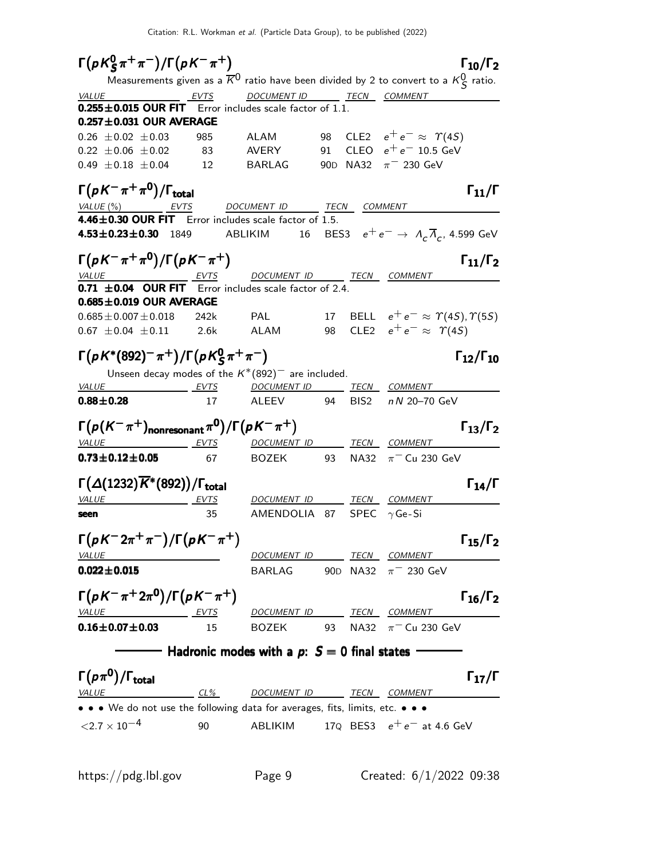$\Gamma(pK^0_S \pi^+ \pi^-)/\Gamma(pK^- \pi^+)$  Γ<sub>10</sub>/Γ<sub>2</sub>  $\Gamma(pK_S^0 \pi^+ \pi^-)/\Gamma(pK^- \pi^+)$  [10/ $\Gamma_2$  $15^{\pi}$   $\pi$  )/I (DA  $\pi$  ')<br>Measurements given as a  $\overline{K}^0$  ratio have been divided by 2 to convert to a  $\kappa_S^0$  ratio. VALUE \_\_\_\_\_\_\_\_\_\_\_\_\_\_\_\_\_\_\_\_\_EVTS DOCUMENT ID \_\_\_\_\_\_\_\_TECN COMMENT  $0.255\pm0.015$  OUR FIT Error includes scale factor of 1.1.  $0.257 \pm 0.031$  OUR AVERAGE  $0.26 \pm 0.02 \pm 0.03$  985 ALAM 98 CLE2  $e^+e^- \approx \Upsilon(45)$  $0.22 \pm 0.06 \pm 0.02$  83 AVERY 91 CLEO  $e^+e^-$  10.5 GeV  $0.49 \pm 0.18 \pm 0.04$  12 BARLAG 90D NA32  $\pi^-$  230 GeV  $\Gamma(pK^-\pi^+\pi^0)/\Gamma_{\rm total}$ Γ VALUE (%) EVTS DOCUMENT ID TECN COMMENT  $4.46 \pm 0.30$  OUR FIT Error includes scale factor of 1.5.  $\textbf{4.53} \pm \textbf{0.23} \pm \textbf{0.30}$  1849 ABLIKIM 16 BES3  $e^+ \, e^- \rightarrow \, \, A_{\textit{C}} \, \overline{A}_{\textit{C}}$ , 4.599 GeV Γ(ρΚ<sup>-</sup> π<sup>+</sup>π<sup>0</sup>)/Γ(ρΚ<sup>-</sup> π<sup>+</sup>) Γ<sub>11</sub>/Γ<sub>2</sub>  $\Gamma_{11}/\Gamma_2$ VALUE EVTS DOCUMENT ID TECN COMMENT **0.71**  $\pm$ **0.04 OUR FIT** Error includes scale factor of 2.4.  $0.685\pm0.019$  OUR AVERAGE  $0.685 \pm 0.007 \pm 0.018$  242k PAL 17 BELL  $e^+ e^- \approx \Upsilon(45), \Upsilon(55)$ 0.67  $\pm$ 0.04  $\pm$ 0.11 2.6k ALAM 98 CLE2  $e^+e^- \approx$   $\gamma$ (45) Γ(ρK\*(892)<sup>−</sup> π<sup>+</sup>)/Γ(ρK<sup>o</sup>ς π<sup>+</sup> π<sup>−</sup>) Γ12/Γ<sub>10</sub>  $Γ_{12}/Γ_{10}$ Unseen decay modes of the  $K^*(892)^-$  are included. VALUE EVTS DOCUMENT ID TECN COMMENT 0.88±0.28 17 ALEEV 94 BIS2 n N 20-70 GeV  $\Gamma(p(K^-\pi^+)_{\text{nonresonant}}\pi^0)/\Gamma(pK^-\pi^+)$  Γ $_{13}/\Gamma_2$  $\Gamma_{13}/\Gamma_2$ VALUE EVTS DOCUMENT ID TECN COMMENT **0.73±0.12±0.05** 67 BOZEK 93 NA32  $\pi$ <sup>-</sup> Cu 230 GeV  $\Gamma(\Delta(1232)\overline{K}^*(892))/\Gamma_{\text{total}}$  Γ<sub>14</sub>/Γ VALUE EVTS DOCUMENT ID TECN COMMENT **seen** 35 AMENDOLIA 87 SPEC  $\gamma$  Ge-Si  $\Gamma(pK^- 2\pi^+ \pi^-)/\Gamma(pK^- \pi^+)$  Γ<sub>15</sub>/Γ<sub>2</sub> VALUE **DOCUMENT ID** TECN COMMENT **0.022±0.015** BARLAG 90D NA32  $\pi$ <sup>-</sup> 230 GeV  $\Gamma(pK^-\pi^+2\pi^0)/\Gamma(pK^-\pi^+)$  Γ<sub>16</sub>/Γ<sub>2</sub>  $\Gamma_{16}/\Gamma_2$ VALUE EVTS DOCUMENT ID TECN COMMENT **0.16±0.07±0.03** 15 BOZEK 93 NA32  $\pi$ <sup>-</sup> Cu 230 GeV  $-$  Hadronic modes with a  $p: S = 0$  final states  $-$ Γ $(p\pi^0)/\Gamma_{\text{total}}$  Γ $_{17}/\Gamma$  $\Gamma$ <sub>total</sub> Γ<sub>17</sub>/Γ VALUE CL% DOCUMENT ID TECN COMMENT • • • We do not use the following data for averages, fits, limits, etc. • • •  $\langle 2.7 \times 10^{-4}$  90 ABLIKIM 17Q BES3  $e^+e^-$  at 4.6 GeV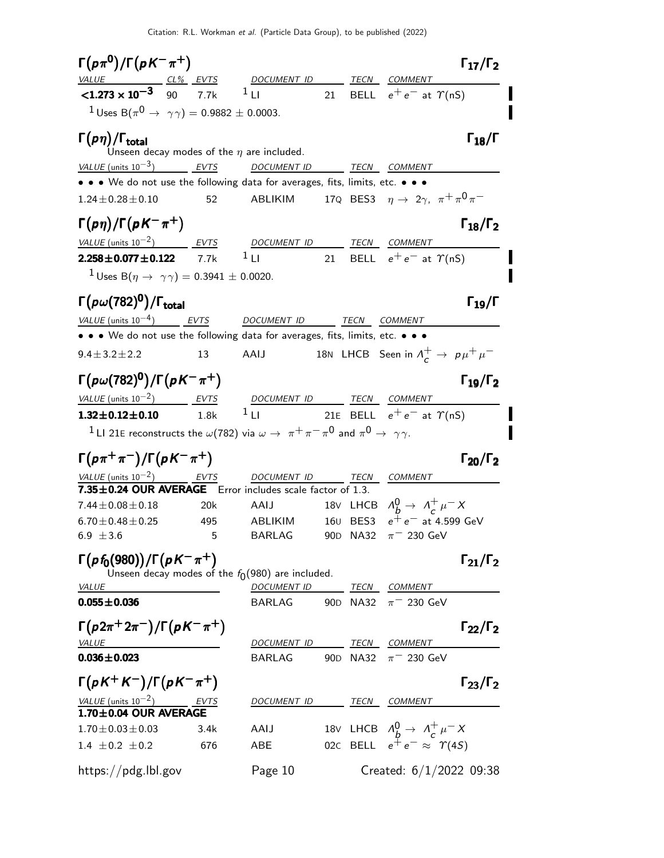| $\Gamma(p\pi^0)/\Gamma(pK^-\pi^+)$                                                                                                                         |      |                                                                                                                       |                 |                      |                                                          | $\Gamma_{17}/\Gamma_2$ |
|------------------------------------------------------------------------------------------------------------------------------------------------------------|------|-----------------------------------------------------------------------------------------------------------------------|-----------------|----------------------|----------------------------------------------------------|------------------------|
| <u>VALUE CL% EVTS</u> DOCUMENT ID TECN COMMENT<br><1.273 × 10 <sup>-3</sup> 90 7.7k <sup>1</sup> LI 21 BELL e <sup>+</sup> e <sup>-</sup> at $\gamma$ (nS) |      |                                                                                                                       |                 |                      |                                                          |                        |
|                                                                                                                                                            |      |                                                                                                                       |                 |                      |                                                          |                        |
| <sup>1</sup> Uses B( $\pi^{0} \to \gamma \gamma$ ) = 0.9882 ± 0.0003.                                                                                      |      |                                                                                                                       |                 |                      |                                                          |                        |
| $\Gamma(p\eta)/\Gamma_{\rm total}$                                                                                                                         |      |                                                                                                                       |                 |                      |                                                          | $\Gamma_{18}/\Gamma$   |
|                                                                                                                                                            |      | Unseen decay modes of the $\eta$ are included.                                                                        |                 |                      |                                                          |                        |
| VALUE (units $10^{-3}$ ) EVTS                                                                                                                              |      | <b>DOCUMENT ID</b>                                                                                                    |                 |                      | TECN COMMENT                                             |                        |
| $\bullet \bullet \bullet$ We do not use the following data for averages, fits, limits, etc. $\bullet \bullet$                                              |      |                                                                                                                       |                 |                      |                                                          |                        |
| $1.24 \pm 0.28 \pm 0.10$                                                                                                                                   | 52   | ABLIKIM 17Q BES3 $\eta \rightarrow 2\gamma, \pi^+ \pi^0 \pi^-$                                                        |                 |                      |                                                          |                        |
| $\Gamma(p\eta)/\Gamma(pK^{-}\pi^{+})$                                                                                                                      |      |                                                                                                                       |                 |                      |                                                          | $\Gamma_{18}/\Gamma_2$ |
| $VALU E$ (units 10 <sup>-2</sup> ) EVTS DOCUMENT ID TECN COMMENT                                                                                           |      |                                                                                                                       |                 |                      |                                                          |                        |
| $2.258 \pm 0.077 \pm 0.122$ 7.7k                                                                                                                           |      | $1$ LH and $\sim$ 100 $\mu$                                                                                           |                 |                      | 21 BELL $e^+e^-$ at $\gamma$ (nS)                        |                        |
| <sup>1</sup> Uses B( $\eta \to \gamma \gamma$ ) = 0.3941 ± 0.0020.                                                                                         |      |                                                                                                                       |                 |                      |                                                          |                        |
| $\Gamma(p\omega(782)^0)/\Gamma_{\rm total}$                                                                                                                |      |                                                                                                                       |                 |                      |                                                          | $\Gamma_{19}/\Gamma$   |
| VALUE (units $10^{-4}$ ) EVTS DOCUMENT ID TECN COMMENT                                                                                                     |      |                                                                                                                       |                 |                      |                                                          |                        |
| • • We do not use the following data for averages, fits, limits, etc. • • •                                                                                |      |                                                                                                                       |                 |                      |                                                          |                        |
| $9.4 \pm 3.2 \pm 2.2$                                                                                                                                      | 13   | AAIJ                                                                                                                  |                 |                      | 18N LHCB Seen in $\Lambda_c^+ \rightarrow p \mu^+ \mu^-$ |                        |
| $\Gamma(\rho\omega(782)^{0})/\Gamma(\rho K^{-}\pi^{+})$                                                                                                    |      |                                                                                                                       |                 |                      |                                                          | $\Gamma_{19}/\Gamma_2$ |
| $VALUE$ (units $10^{-2}$ ) EVTS                                                                                                                            |      | $\frac{DOCUMENT ID}{1 L1} \frac{TECN}{21E} \frac{COMMENT}{e^+ e^-}$ at $\gamma(nS)$                                   |                 |                      |                                                          |                        |
| $1.32 \pm 0.12 \pm 0.10$                                                                                                                                   | 1.8k |                                                                                                                       |                 |                      |                                                          |                        |
|                                                                                                                                                            |      | <sup>1</sup> LI 21E reconstructs the $\omega(782)$ via $\omega \to \pi^+ \pi^- \pi^0$ and $\pi^0 \to \gamma \gamma$ . |                 |                      |                                                          |                        |
| $\Gamma(p\pi^+\pi^-)/\Gamma(pK^-\pi^+)$                                                                                                                    |      |                                                                                                                       |                 |                      |                                                          | $\Gamma_{20}/\Gamma_2$ |
| VALUE (units $10^{-2}$ ) EVTS DOCUMENT ID                                                                                                                  |      |                                                                                                                       |                 |                      | TECN COMMENT                                             |                        |
| 7.35±0.24 OUR AVERAGE Error includes scale factor of 1.3.                                                                                                  |      |                                                                                                                       |                 |                      |                                                          |                        |
| $7.44 \pm 0.08 \pm 0.18$                                                                                                                                   | 20k  | AAIJ                                                                                                                  |                 |                      | 18V LHCB $\Lambda_b^0 \rightarrow \Lambda_c^+ \mu^- X$   |                        |
| $6.70 \pm 0.48 \pm 0.25$                                                                                                                                   | 495  | ABLIKIM                                                                                                               |                 |                      | 160 BES3 $e^+e^-$ at 4.599 GeV                           |                        |
| 6.9 $\pm 3.6$                                                                                                                                              | 5    | <b>BARLAG</b>                                                                                                         |                 | 90D NA32             | $\pi$ <sup>-</sup> 230 GeV                               |                        |
| $\Gamma(p f_0(980))/\Gamma(p K^- \pi^+)$                                                                                                                   |      | Unseen decay modes of the $f_0(980)$ are included.                                                                    |                 |                      |                                                          | $\Gamma_{21}/\Gamma_2$ |
| <i>VALUE</i>                                                                                                                                               |      | <b>DOCUMENT ID</b>                                                                                                    |                 |                      | <b>TECN COMMENT</b>                                      |                        |
| $0.055 \pm 0.036$                                                                                                                                          |      | BARLAG                                                                                                                |                 | 90 <sub>D</sub> NA32 | $\pi$ <sup>-</sup> 230 GeV                               |                        |
| $\Gamma(p 2\pi^+ 2\pi^-)/\Gamma(p K^- \pi^+)$                                                                                                              |      |                                                                                                                       |                 |                      |                                                          | $\Gamma_{22}/\Gamma_2$ |
| <b>VALUE</b>                                                                                                                                               |      | <u>DOCUMENT ID</u>                                                                                                    |                 |                      | <b>TECN COMMENT</b>                                      |                        |
| $0.036 \pm 0.023$                                                                                                                                          |      | <b>BARLAG</b>                                                                                                         | 90 <sub>D</sub> | NA32                 | $\pi$ <sup>-</sup> 230 GeV                               |                        |
| $\Gamma(pK^+K^-)/\Gamma(pK^-\pi^+)$                                                                                                                        |      |                                                                                                                       |                 |                      |                                                          | $\Gamma_{23}/\Gamma_2$ |
| VALUE (units $10^{-2}$ )                                                                                                                                   | EVTS | DOCUMENT ID                                                                                                           |                 | TECN                 | <b>COMMENT</b>                                           |                        |
| 1.70±0.04 OUR AVERAGE                                                                                                                                      |      |                                                                                                                       |                 |                      |                                                          |                        |
| $1.70 \pm 0.03 \pm 0.03$                                                                                                                                   | 3.4k | AAIJ                                                                                                                  |                 |                      | 18V LHCB $\Lambda_h^0 \rightarrow \Lambda_c^+ \mu^- X$   |                        |
| 1.4 $\pm$ 0.2 $\pm$ 0.2                                                                                                                                    | 676  | ABE                                                                                                                   |                 |                      | 02c BELL $e^+e^- \approx \Upsilon(4S)$                   |                        |
| https://pdg.lbl.gov                                                                                                                                        |      | Page 10                                                                                                               |                 |                      | Created: $6/1/2022$ 09:38                                |                        |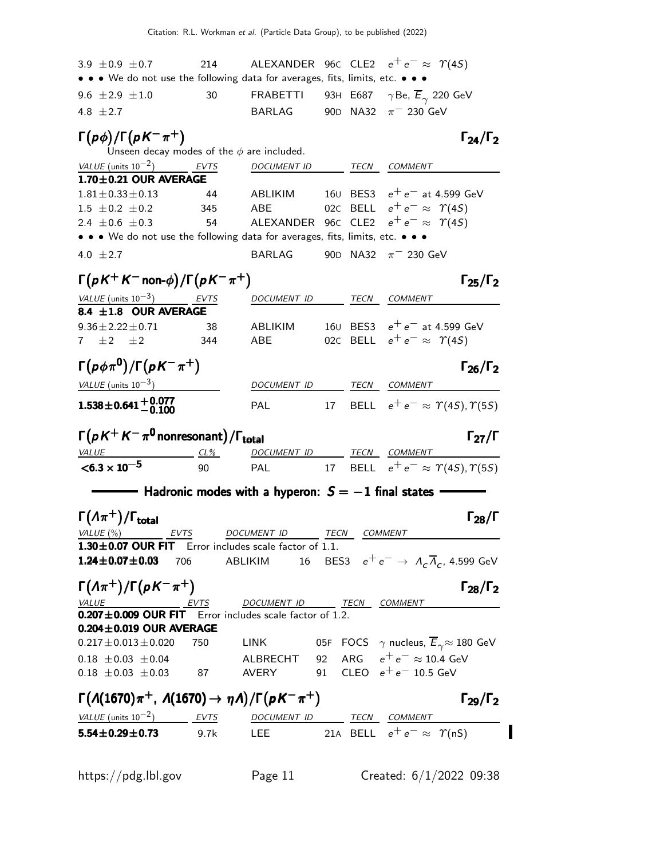| 3.9 $\pm$ 0.9 $\pm$ 0.7                                                                                                                                                                                                                                       | 214         | ALEXANDER 96 $\epsilon$ CLE2 $e^+e^- \approx \; \Upsilon(4S)$                                          |              |                                                             |                        |
|---------------------------------------------------------------------------------------------------------------------------------------------------------------------------------------------------------------------------------------------------------------|-------------|--------------------------------------------------------------------------------------------------------|--------------|-------------------------------------------------------------|------------------------|
| • • • We do not use the following data for averages, fits, limits, etc. • •                                                                                                                                                                                   |             |                                                                                                        |              |                                                             |                        |
| 9.6 $\pm 2.9 \pm 1.0$                                                                                                                                                                                                                                         | 30          | FRABETTI                                                                                               |              | 93н Е687 $\gamma$ Be, $E_{\gamma}$ 220 GeV                  |                        |
| 4.8 $\pm 2.7$                                                                                                                                                                                                                                                 |             | <b>BARLAG</b>                                                                                          |              | 90D NA32 $\pi$ <sup>-</sup> 230 GeV                         |                        |
| $\Gamma(p\phi)/\Gamma(pK^{-}\pi^{+})$<br>Unseen decay modes of the $\phi$ are included.                                                                                                                                                                       |             |                                                                                                        |              |                                                             | $\Gamma_{24}/\Gamma_2$ |
| VALUE (units $10^{-2}$ )                                                                                                                                                                                                                                      | <b>EVTS</b> | <b>DOCUMENT ID</b>                                                                                     |              | <b>TECN COMMENT</b>                                         |                        |
| 1.70±0.21 OUR AVERAGE                                                                                                                                                                                                                                         |             |                                                                                                        |              |                                                             |                        |
| $1.81 \pm 0.33 \pm 0.13$                                                                                                                                                                                                                                      | 44          |                                                                                                        |              | ABLIKIM $160$ BES3 $e^+e^-$ at 4.599 GeV                    |                        |
| $1.5 \pm 0.2 \pm 0.2$                                                                                                                                                                                                                                         | 345         | ABE                                                                                                    |              | 02C BELL $e^+e^- \approx \Upsilon(4S)$                      |                        |
| 2.4 $\pm 0.6 \pm 0.3$                                                                                                                                                                                                                                         | 54          |                                                                                                        |              | ALEXANDER 96C CLE2 $e^+e^- \approx \Upsilon(4S)$            |                        |
| • • • We do not use the following data for averages, fits, limits, etc. • • •                                                                                                                                                                                 |             |                                                                                                        |              |                                                             |                        |
| 4.0 $\pm 2.7$                                                                                                                                                                                                                                                 |             | BARLAG                                                                                                 |              | 90D NA32 $\pi^-$ 230 GeV                                    |                        |
| $\Gamma(pK^+K^-$ non- $\phi$ )/ $\Gamma(pK^-\pi^+)$                                                                                                                                                                                                           |             |                                                                                                        |              |                                                             | $\Gamma_{25}/\Gamma_2$ |
| VALUE (units $10^{-3}$ ) EVTS                                                                                                                                                                                                                                 |             | DOCUMENT ID TECN COMMENT                                                                               |              |                                                             |                        |
| 8.4 ±1.8 OUR AVERAGE                                                                                                                                                                                                                                          |             |                                                                                                        |              |                                                             |                        |
| $9.36 \pm 2.22 \pm 0.71$                                                                                                                                                                                                                                      | 38          | ABLIKIM                                                                                                |              | 160 BES3 $e^+e^-$ at 4.599 GeV                              |                        |
| 7 $\pm 2$ $\pm 2$                                                                                                                                                                                                                                             | 344         | ABE                                                                                                    |              | 02C BELL $e^+e^- \approx \Upsilon(4S)$                      |                        |
| $\Gamma(p\phi\pi^0)/\Gamma(pK^-\pi^+)$                                                                                                                                                                                                                        |             |                                                                                                        |              |                                                             | $\Gamma_{26}/\Gamma_2$ |
| VALUE (units $10^{-3}$ )                                                                                                                                                                                                                                      |             | DOCUMENT ID TECN COMMENT                                                                               |              |                                                             |                        |
| $1.538 \pm 0.641 + 0.077$                                                                                                                                                                                                                                     |             | <b>PAL</b>                                                                                             |              | 17 BELL $e^+e^- \approx \Upsilon(4S), \Upsilon(5S)$         |                        |
|                                                                                                                                                                                                                                                               |             |                                                                                                        |              |                                                             |                        |
| $\Gamma(pK^+K^-\pi^0$ nonresonant) / $\Gamma_{\rm total}$                                                                                                                                                                                                     |             |                                                                                                        |              |                                                             | $\Gamma_{27}/\Gamma$   |
| <i>VALUE</i>                                                                                                                                                                                                                                                  | $CL\%$      | DOCUMENT ID TECN COMMENT                                                                               |              |                                                             |                        |
| $< 6.3 \times 10^{-5}$                                                                                                                                                                                                                                        | 90          | PAL                                                                                                    |              | 17 BELL $e^+e^- \approx \Upsilon(4S), \Upsilon(5S)$         |                        |
| $\hspace{1.5cm}$ Hadronic modes with a hyperon: $S=-1$ final states -                                                                                                                                                                                         |             |                                                                                                        |              |                                                             |                        |
| $\Gamma(\Lambda \pi^+) / \Gamma_{\text{total}}$                                                                                                                                                                                                               |             |                                                                                                        |              |                                                             | $\Gamma_{28}/\Gamma$   |
| VALUE (%) EVTS                                                                                                                                                                                                                                                |             | DOCUMENT ID                                                                                            | TECN COMMENT |                                                             |                        |
| $1.30 \pm 0.07$ OUR FIT Error includes scale factor of 1.1.<br>$1.24 \pm 0.07 \pm 0.03$ 706                                                                                                                                                                   |             | ABLIKIM                                                                                                |              | 16 BES3 $e^+e^- \rightarrow A_c \overline{A}_c$ , 4.599 GeV |                        |
|                                                                                                                                                                                                                                                               |             |                                                                                                        |              |                                                             |                        |
| $\Gamma(\Lambda \pi^+) / \Gamma(pK^- \pi^+)$                                                                                                                                                                                                                  |             |                                                                                                        |              |                                                             | $\Gamma_{28}/\Gamma_2$ |
| $\underbrace{VALUE}$ $\underbrace{EVTS}$ DOCUMENT ID THE <b>0.207±0.009 OUR FIT</b> Error includes scale factor of 1.2.                                                                                                                                       |             | DOCUMENT ID _______ TECN COMMENT                                                                       |              |                                                             |                        |
|                                                                                                                                                                                                                                                               |             |                                                                                                        |              |                                                             |                        |
| $0.204 \pm 0.019$ OUR AVERAGE                                                                                                                                                                                                                                 |             |                                                                                                        |              |                                                             |                        |
| $0.217 \pm 0.013 \pm 0.020$ 750                                                                                                                                                                                                                               |             | LINK $\qquad \qquad$ 05F FOCS $\ \gamma$ nucleus, $\overline{E}_\gamma \! \approx 180 \,\, \text{GeV}$ |              |                                                             |                        |
| $0.18 \pm 0.03 \pm 0.04$<br>$0.18 \pm 0.03 \pm 0.03$<br>$87$<br>AVERY<br>$92$<br>$34$<br>$93$<br>$12$<br>$16$<br>$16$<br>$16$<br>$16$<br>$16$<br>$16$<br>$16$<br>$16$<br>$16$<br>$16$<br>$16$<br>$16$<br>$16$<br>$16$<br>$16$<br>$16$<br>$16$<br>$16$<br>$16$ |             |                                                                                                        |              |                                                             |                        |
|                                                                                                                                                                                                                                                               |             |                                                                                                        |              |                                                             |                        |
| $\Gamma(\Lambda(1670)\pi^+$ , $\Lambda(1670) \rightarrow \eta \Lambda)/\Gamma(pK^-\pi^+)$                                                                                                                                                                     |             |                                                                                                        |              |                                                             | $\Gamma_{29}/\Gamma_2$ |
|                                                                                                                                                                                                                                                               |             |                                                                                                        |              |                                                             |                        |
| $\frac{VALUE \text{ (units 10}^{-2})}{5.54 \pm 0.29 \pm 0.73}$ $\frac{EVTS}{9.7k}$ $\frac{DOCUMENT \text{ ID}}{LEE}$ $\frac{TECN}{21A}$ $\frac{COMMENT}{BELL}$ $e^+e^- \approx \gamma(nS)$                                                                    |             |                                                                                                        |              |                                                             |                        |
|                                                                                                                                                                                                                                                               |             |                                                                                                        |              |                                                             |                        |
|                                                                                                                                                                                                                                                               |             |                                                                                                        |              |                                                             |                        |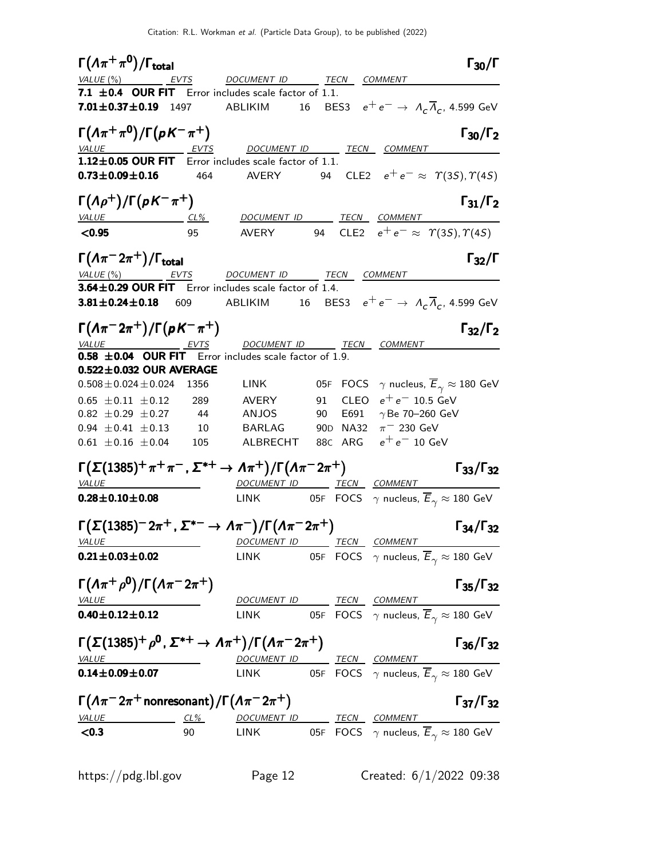$\Gamma(\Lambda \pi^+ \pi^0)/\Gamma_{\rm total}$  Γ<sub>30</sub>/Γ VALUE (%)  $EVTS$  DOCUMENT ID TECN COMMENT 7.1  $\pm$  0.4 OUR FIT Error includes scale factor of 1.1. **7.01** $\pm$ **0.37** $\pm$ **0.19** 1497 ABLIKIM 16 BES3  $e^+e^- \rightarrow \Lambda_c \overline{\Lambda}_c$ , 4.599 GeV  $\Gamma(\Lambda \pi^+ \pi^0)/\Gamma(\rho K^- \pi^+)$  Γ<sub>30</sub>/Γ<sub>2</sub>  $\Gamma_{30}/\Gamma$ DOCUMENT ID TECN COMMENT  $1.12\pm0.05$  OUR FIT Error includes scale factor of 1.1. **0.73±0.09±0.16** 464 AVERY 94 CLE2  $e^+e^- \approx \Upsilon(3S), \Upsilon(4S)$  $\Gamma(\Lambda\rho^+)/\Gamma(\rho K^-\pi^+)$  Γ<sub>31</sub>/Γ<sub>2</sub> ) Γ $_{31}/$ Γ VALUE CL<sup>%</sup> DOCUMENT ID TECN COMMENT  $\leq$ 0.95 95 AVERY 94 CLE2  $e^+e^- \approx \gamma(3S), \gamma(4S)$  $\Gamma(\Lambda \pi^- 2\pi^+) / \Gamma_{\text{total}}$  Γ<sub>32</sub>/Γ VALUE (%) **EVTS** DOCUMENT ID TECN COMMENT  $3.64 \pm 0.29$  OUR FIT Error includes scale factor of 1.4.  $3.81 \pm 0.24 \pm 0.18$  609 ABLIKIM 16 BES3  $e^+e^- \rightarrow \ A_c \overline{A}_c$ , 4.599 GeV Γ $(A\pi^{-}2\pi^{+})$ /Γ $(\rho K^{-}\pi^{+})$  Γ<sub>32</sub>/Γ<sub>2</sub>  $\Gamma_{32}/\Gamma_2$ VALUE EVTS DOCUMENT ID TECN COMMENT **0.58**  $\pm$ **0.04 OUR FIT** Error includes scale factor of 1.9.  $0.522\pm0.032$  OUR AVERAGE  $0.508 \pm 0.024 \pm 0.024$  1356 LINK 05F FOCS  $\gamma$  nucleus,  $\overline{E}_{\gamma} \approx 180$  GeV<br>  $0.65 \pm 0.11 \pm 0.12$  289 AVERY 91 CLEO  $e^+e^-$  10.5 GeV  $0.65 \pm 0.11 \pm 0.12$  289 AVERY 91 CLEO  $e^+e^-$  10.5 GeV 0.82  $\pm$ 0.29  $\pm$ 0.27 44 ANJOS 90 E691  $\gamma$ Be 70–260 GeV 0.94  $\pm$  0.41  $\pm$  0.13 10 BARLAG 90D NA32 π<sup>-</sup> 230 GeV  $0.61 \pm 0.16 \pm 0.04$  105 ALBRECHT 88C ARG  $e^+e^-$  10 GeV  $\Gamma(\Sigma(1385)^{+}\pi^{+}\pi^{-}$  ,  $\Sigma^{*+}\to \Lambda\pi^{+})/\Gamma(\Lambda\pi^{-}2\pi^{+})$  [33/Γ32  $\Gamma_{33}/\Gamma_{32}$ VALUE **DOCUMENT ID TECN COMMENT 0.28** $\pm$ **0.10** $\pm$ **0.08** LINK 05F FOCS  $\gamma$  nucleus,  $\overline{E}_\gamma \approx 180$  GeV Γ Σ(1385)<sup>−</sup> 2π <sup>+</sup> , Σ ∗− → Λπ − /Γ Λπ <sup>−</sup> 2π + <sup>Γ</sup> <sup>Γ</sup>34/Γ<sup>32</sup> (1385)−2<sup>π</sup> <sup>+</sup>, ∗−→ π <sup>−</sup>/Γπ <sup>−</sup>2π <sup>+</sup>Γ Γ34/Γ<sup>32</sup> (1385)<sup>−</sup> 2π<sup>+</sup> , Σ Λ<sup>−</sup> /Γ Λπ 2π <sup>Γ</sup> <sup>Γ</sup>34/Γ(1385)−2π+, <sup>−</sup>/Γπ 2π Γ34/Γ VALUE DOCUMENT ID TECN COMMENT **0.21±0.03±0.02** LINK 05F FOCS  $\gamma$  nucleus,  $\overline{E}_{\gamma} \approx 180$  GeV Γ(Λ $\pi^{+}$ ρ<sup>0</sup>)/Γ(Λ $\pi^{-}$ 2 $\pi^{+}$ ) Γ35/Γ32 Γ35/Γ VALUE DOCUMENT ID TECN COMMENT **0.40±0.12±0.12** LINK 05F FOCS  $\gamma$  nucleus,  $\overline{E}_{\gamma} \approx 180$  GeV  $\Gamma(\Sigma(1385)^+ \rho^{\mathsf{0}}$  ,  $\Sigma^{*+} \to \Lambda \pi^+)/\Gamma(\Lambda \pi^- 2\pi^+)$  Γ<sub>36</sub>/Γ<sub>32</sub>  $\Gamma_{36}/\Gamma_{32}$ VALUE DOCUMENT ID TECN COMMENT **0.14±0.09±0.07** LINK 05F FOCS  $\gamma$  nucleus,  $\overline{E}_{\gamma} \approx 180$  GeV  $\Gamma(\Lambda\pi^- 2\pi^+$ nonresonant $)/\Gamma(\Lambda\pi^- 2\pi^+)$  Γ37/Γ32 Γ37/Γ VALUE CL<sup>%</sup> CL<sup>%</sup> DOCUMENT ID TECN COMMENT **<0.3** 90 LINK 05F FOCS  $\gamma$  nucleus,  $\overline{E}_{\gamma} \approx 180$  GeV

https://pdg.lbl.gov Page 12 Created: 6/1/2022 09:38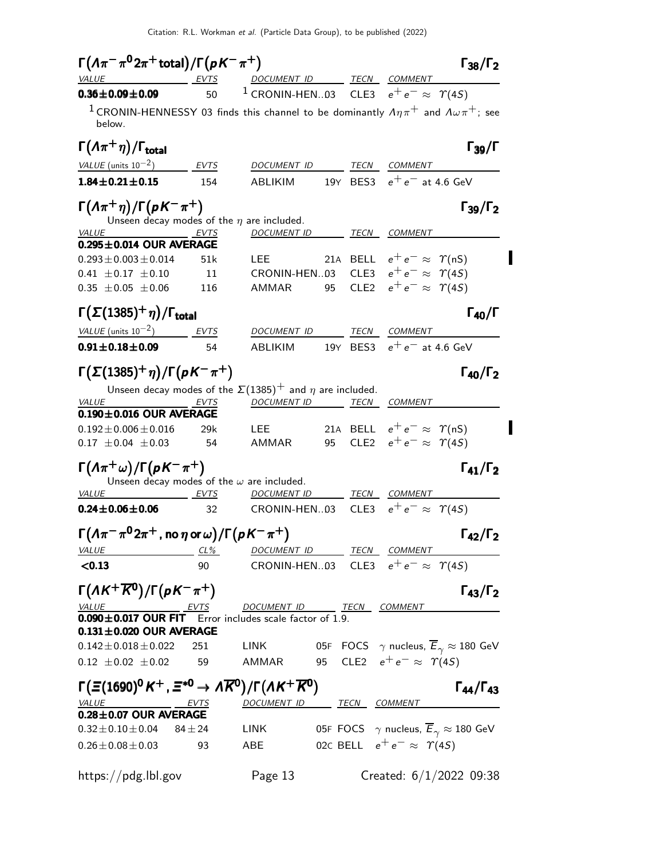| $\Gamma(\Lambda\pi^-\pi^02\pi^+$ total)/ $\Gamma(\rho K^-\pi^+)$<br>VALUE                                            | EVTS            | DOCUMENT ID TECN COMMENT                                            |      |                                        | $\Gamma_{38}/\Gamma_2$                                             |  |
|----------------------------------------------------------------------------------------------------------------------|-----------------|---------------------------------------------------------------------|------|----------------------------------------|--------------------------------------------------------------------|--|
| $0.36 \pm 0.09 \pm 0.09$                                                                                             | 50              | <sup>1</sup> CRONIN-HEN03 CLE3 $e^+e^- \approx \Upsilon(45)$        |      |                                        |                                                                    |  |
| <sup>1</sup> CRONIN-HENNESSY 03 finds this channel to be dominantly $A\eta\pi^+$ and $A\omega\pi^+$ ; see<br>below.  |                 |                                                                     |      |                                        |                                                                    |  |
| $\Gamma(\Lambda \pi^+ \eta)/\Gamma_{\rm total}$                                                                      |                 |                                                                     |      |                                        | $\Gamma_{39}/\Gamma$                                               |  |
| VALUE (units $10^{-2}$ ) EVTS                                                                                        |                 | DOCUMENT ID                                                         | TECN | COMMENT                                |                                                                    |  |
| $1.84 \pm 0.21 \pm 0.15$                                                                                             | 154             | ABLIKIM                                                             |      | 19Y BES3 $e^+e^-$ at 4.6 GeV           |                                                                    |  |
| $\Gamma(\Lambda \pi^+ \eta)/\Gamma(\rho K^- \pi^+)$                                                                  |                 | Unseen decay modes of the $\eta$ are included.                      |      |                                        | $\Gamma_{39}/\Gamma_2$                                             |  |
| VALUE<br><u>EVTS</u>                                                                                                 |                 | DOCUMENT ID TECN COMMENT                                            |      |                                        |                                                                    |  |
| $0.295 \pm 0.014$ OUR AVERAGE                                                                                        |                 |                                                                     |      |                                        |                                                                    |  |
| $0.293 \pm 0.003 \pm 0.014$                                                                                          | 51k             | <b>LEE</b>                                                          |      | 21A BELL $e^+e^- \approx \Upsilon(nS)$ |                                                                    |  |
| $0.41 \pm 0.17 \pm 0.10$                                                                                             | $\overline{11}$ | CRONIN-HEN03 CLE3 $e^+e^- \approx \Upsilon(45)$                     |      |                                        |                                                                    |  |
| $0.35 \pm 0.05 \pm 0.06$                                                                                             | 116             | AMMAR                                                               |      | 95 CLE2 $e^+e^- \approx \Upsilon(4S)$  |                                                                    |  |
| $\Gamma(\Sigma(1385)^+\eta)/\Gamma_{\rm total}$                                                                      |                 |                                                                     |      |                                        | $\Gamma_{40}/\Gamma$                                               |  |
| VALUE (units $10^{-2}$ ) EVTS                                                                                        |                 | DOCUMENT ID                                                         | TECN | COMMENT                                |                                                                    |  |
| $0.91 \pm 0.18 \pm 0.09$                                                                                             | 54              | ABLIKIM                                                             |      | 19Y BES3 $e^+e^-$ at 4.6 GeV           |                                                                    |  |
| $\Gamma(\Sigma(1385)^+\eta)/\Gamma(\rho K^-\pi^+)$                                                                   |                 | Unseen decay modes of the $\Sigma(1385)^+$ and $\eta$ are included. |      |                                        | $\Gamma_{40}/\Gamma_2$                                             |  |
| VALUE                                                                                                                | EVTS            | DOCUMENT ID TECN COMMENT                                            |      |                                        |                                                                    |  |
| $0.190 \pm 0.016$ OUR AVERAGE                                                                                        |                 |                                                                     |      |                                        |                                                                    |  |
| $0.192 \pm 0.006 \pm 0.016$                                                                                          | 29k             | LEE.                                                                |      | 21A BELL $e^+e^- \approx \Upsilon(nS)$ |                                                                    |  |
| $0.17 \pm 0.04 \pm 0.03$                                                                                             | 54              | AMMAR                                                               |      | 95 CLE2 $e^+e^- \approx \Upsilon(4S)$  |                                                                    |  |
| $\Gamma(\Lambda \pi^+ \omega)/\Gamma(\rho K^- \pi^+)$                                                                |                 | Unseen decay modes of the $\omega$ are included.                    |      |                                        | $\Gamma_{41}/\Gamma_2$                                             |  |
| <b>VALUE</b><br>EVTS                                                                                                 |                 | <u>DOCUMENT ID</u>                                                  |      | TECN COMMENT                           |                                                                    |  |
| $0.24 \pm 0.06 \pm 0.06$                                                                                             | 32              | CRONIN-HEN03                                                        | CLE3 | $e^+e^- \approx \Upsilon(4S)$          |                                                                    |  |
| $\Gamma(\Lambda\pi^-\pi^02\pi^+$ , no $\eta$ or $\omega)/\Gamma(\rho K^-\pi^+)$                                      |                 |                                                                     |      |                                        | $\Gamma_{42}/\Gamma_2$                                             |  |
| VALUE                                                                                                                | $CL\%$          | DOCUMENT ID _______ TECN ___ COMMENT                                |      |                                        |                                                                    |  |
| < 0.13                                                                                                               | 90              | CRONIN-HEN03 CLE3 $e^+e^- \approx \Upsilon(45)$                     |      |                                        |                                                                    |  |
| $\Gamma(\Lambda K^+\overline{K^0})/\Gamma(\rho K^-\pi^+)$                                                            |                 |                                                                     |      |                                        | $\Gamma_{43}/\Gamma_2$                                             |  |
| $\underbrace{VALUE}$ EVTS DOCUMENT ID TECN COMMENT<br><b>0.090±0.017 OUR FIT</b> Error includes scale factor of 1.9. |                 |                                                                     |      |                                        |                                                                    |  |
|                                                                                                                      |                 |                                                                     |      |                                        |                                                                    |  |
| $0.131 \pm 0.020$ OUR AVERAGE                                                                                        |                 |                                                                     |      |                                        |                                                                    |  |
| $0.142 \pm 0.018 \pm 0.022$<br>$0.12 \pm 0.02 \pm 0.02$ 59                                                           | 251             | LINK<br>AMMAR                                                       |      | 95 CLE2 $e^+e^- \approx \Upsilon(4S)$  | 05F FOCS $\gamma$ nucleus, $\overline{E}_{\gamma} \approx 180$ GeV |  |
|                                                                                                                      |                 |                                                                     |      |                                        |                                                                    |  |
| $\Gamma(\Xi(1690)^0 K^+, \Xi^{*0} \to \Lambda \overline{K}^0)/\Gamma(\Lambda K^+ \overline{K}^0)$                    |                 |                                                                     |      |                                        | $\Gamma_{44}/\Gamma_{43}$                                          |  |
|                                                                                                                      | <u>EVTS</u>     | DOCUMENT ID TECN COMMENT                                            |      |                                        |                                                                    |  |
| $0.28 \pm 0.07$ OUR AVERAGE                                                                                          |                 |                                                                     |      |                                        |                                                                    |  |
| $0.32 \pm 0.10 \pm 0.04$                                                                                             | $84 \pm 24$     | LINK                                                                |      |                                        | 05F FOCS $\gamma$ nucleus, $\overline{E}_{\gamma} \approx 180$ GeV |  |
| $0.26 \pm 0.08 \pm 0.03$                                                                                             | 93              | ABE                                                                 |      | 02c BELL $e^+e^- \approx \Upsilon(4S)$ |                                                                    |  |
| https://pdg.lbl.gov                                                                                                  |                 | Page 13                                                             |      |                                        | Created: $6/1/2022$ 09:38                                          |  |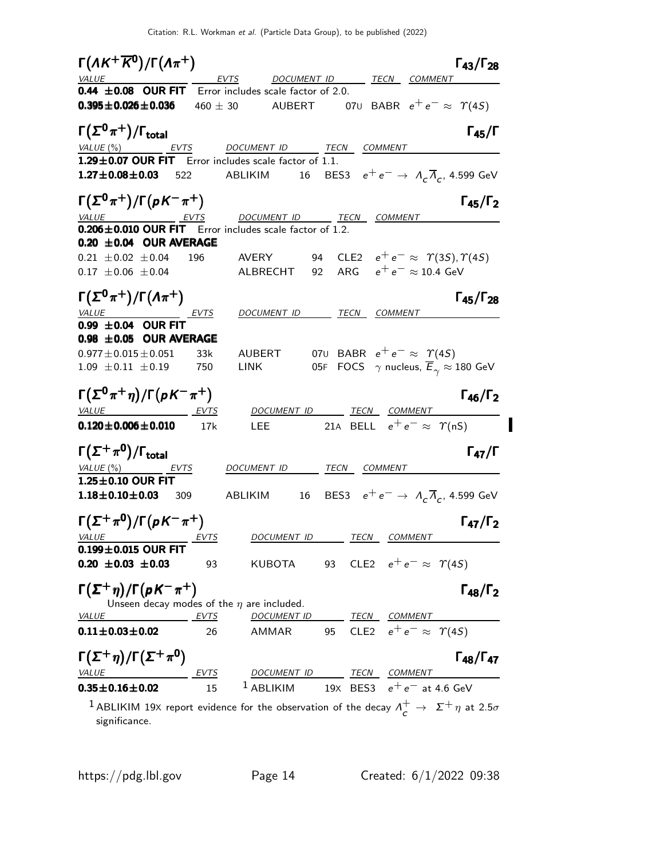$\Gamma(\Lambda K^+ \overline{K}^0)/\Gamma(\Lambda \pi^+)$  Γ<sub>43</sub>/Γ<sub>28</sub>  $\Gamma_{43}/\Gamma_{28}$ DOCUMENT ID TECN COMMENT 0.44  $\pm$  0.08 OUR FIT Error includes scale factor of 2.0. **0.395±0.026±0.036** 460 ± 30 AUBERT 070 BABR  $e^+e^- \approx \Upsilon(4S)$  $\Gamma(\Sigma^0 \pi^+) / \Gamma_{\text{total}}$  Γ<sub>45</sub>/Γ total and the set of the set of the set of the set of the set of the set of the set of the set of the set of t EVTS DOCUMENT ID TECN COMMENT  $1.29\pm0.07$  OUR FIT Error includes scale factor of 1.1. **1.27** $\pm$ **0.08** $\pm$ **0.03** 522 ABLIKIM 16 BES3  $e^+e^- \rightarrow \ A_c\overline{A}_c$ , 4.599 GeV  $\Gamma(\Sigma^0 \pi^+) / \Gamma(\rho K^- \pi^+)$  Γ<sub>45</sub>/Γ<sub>2</sub>  $\Gamma_{45}/\Gamma$ DOCUMENT ID TECN COMMENT  $0.206 \pm 0.010$  OUR FIT Error includes scale factor of 1.2.  $0.20 \pm 0.04$  OUR AVERAGE 0.21  $\pm$ 0.02  $\pm$ 0.04 196 AVERY 94 CLE2  $e^+e^- \approx \gamma(35), \gamma(45)$  $0.17 \pm 0.06 \pm 0.04$  ALBRECHT 92 ARG  $e^+e^- \approx 10.4$  GeV Γ $(\Sigma^0 \pi^+) / \Gamma(\Lambda \pi^+)$  Γ<sub>45</sub>/Γ<sub>28</sub>  $\Gamma_{45}/\Gamma_{28}$ DOCUMENT ID TECN COMMENT  $0.99 \pm 0.04$  OUR FIT  $0.98 \pm 0.05$  OUR AVERAGE 0.977±0.015±0.051 33k AUBERT 07∪ BABR  $e^+e^- \approx \Upsilon(4S)$ 1.09  $\pm$  0.11  $\pm$  0.19 750 LINK 05F FOCS  $\gamma$  nucleus,  $\overline{E}_{\gamma} \approx 180$  GeV  $\Gamma(\Sigma^0 \pi^+ \eta)/\Gamma(\rho K^- \pi^+)$   $\Gamma_{46}/\Gamma_2$ Γ46/ΓVALUE EVTS DOCUMENT ID TECN COMMENT **0.120±0.006±0.010** 17k LEE 21A BELL  $e^+e^- \approx \Upsilon(nS)$ Γ $(\Sigma^+\pi^0)/\Gamma_{\rm total}$ )/Γ<sub>total</sub> Γ<sub>47</sub>/Γ VALUE (%) **EVTS** DOCUMENT ID TECN COMMENT  $1.25\pm0.10$  OUR FIT **1.18** $\pm$ **0.10** $\pm$ **0.03** 309 ABLIKIM 16 BES3  $e^+e^- \rightarrow \Lambda_c \overline{\Lambda}_c$ , 4.599 GeV  $\Gamma(\Sigma^{+} \pi^{0}) / \Gamma(pK^{-} \pi^{+})$  Γ<sub>47</sub>/Γ<sub>2</sub> Γ47/ΓDOCUMENT ID TECN COMMENT  $0.199 + 0.015$  OUR FIT **0.20 ±0.03 ±0.03** 93 KUBOTA 93 CLE2  $e^+e^- \approx \Upsilon(45)$  $\Gamma(\Sigma^+\eta)/\Gamma(\rho K^-\pi^+)$  Γ<sub>48</sub>/Γ<sub>2</sub> Γ48/ΓUnseen decay modes of the  $\eta$  are included. VALUE <u>EVTS</u> DOCUMENT ID TECN COMMENT **0.11±0.03±0.02** 26 AMMAR 95 CLE2  $e^+e^- \approx \Upsilon(4S)$  $\Gamma(\Sigma^+\eta)/\Gamma(\Sigma^+\pi^0)$  Γ<sub>48</sub>/Γ<sub>47</sub> Γ48/Γ VALUE EVTS DOCUMENT ID TECN COMMENT **0.35±0.16±0.02** 15 <sup>1</sup> ABLIKIM 19X BES3  $e^+e^-$  at 4.6 GeV  $1$  ABLIKIM 19X report evidence for the observation of the decay  $\Lambda_c^+ \to \Sigma^+ \eta$  at 2.5 $\sigma$ significance.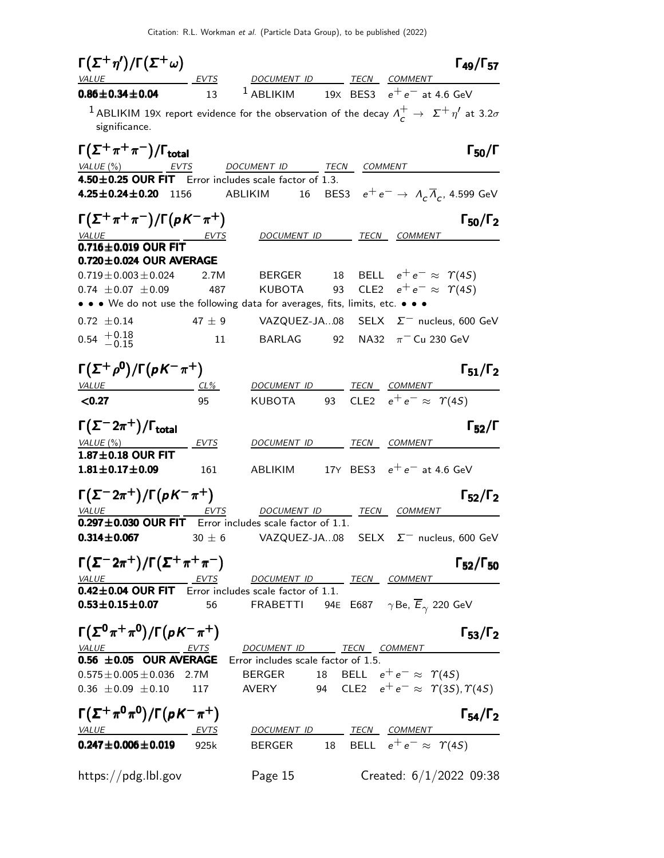| $\Gamma(\Sigma^+\eta')/\Gamma(\Sigma^+\omega)$                                                                                              |        |                                                                                                |                                              | $\Gamma_{49}/\Gamma_{57}$ |
|---------------------------------------------------------------------------------------------------------------------------------------------|--------|------------------------------------------------------------------------------------------------|----------------------------------------------|---------------------------|
| VALUE EVTS DOCUMENT ID TECN COMMENT                                                                                                         |        |                                                                                                |                                              |                           |
| $0.86 \pm 0.34 \pm 0.04$                                                                                                                    | 13     | <sup>1</sup> ABLIKIM 19X BES3 $e^+e^-$ at 4.6 GeV                                              |                                              |                           |
| <sup>1</sup> ABLIKIM 19X report evidence for the observation of the decay $\Lambda_c^+ \to \Sigma^+ \eta'$ at 3.2 $\sigma$<br>significance. |        |                                                                                                |                                              |                           |
| $\Gamma(\Sigma^+\pi^+\pi^-)/\Gamma_{\rm total}$                                                                                             |        |                                                                                                |                                              | $\Gamma_{50}/\Gamma$      |
| $VALUE(%)$ EVTS                                                                                                                             |        | DOCUMENT ID TECN COMMENT                                                                       |                                              |                           |
| 4.50±0.25 OUR FIT Error includes scale factor of 1.3.                                                                                       |        |                                                                                                |                                              |                           |
| 4.25 $\pm$ 0.24 $\pm$ 0.20 1156                                                                                                             |        |                                                                                                |                                              |                           |
| $\Gamma(\Sigma^+\pi^+\pi^-)/\Gamma(pK^-\pi^+)$                                                                                              |        |                                                                                                |                                              | $\Gamma_{50}/\Gamma_2$    |
| $\frac{VALUE}{0.716 \pm 0.019}$ OUR FIT $\frac{EVTS}{0.716 \pm 0.019}$ OUR FIT                                                              |        |                                                                                                |                                              |                           |
| $0.720 \pm 0.024$ OUR AVERAGE                                                                                                               |        |                                                                                                |                                              |                           |
| $0.719 \pm 0.003 \pm 0.024$                                                                                                                 | 2.7M   |                                                                                                | BERGER 18 BELL $e^+e^- \approx \Upsilon(4S)$ |                           |
| $0.74 \pm 0.07 \pm 0.09$                                                                                                                    | 487    | KUBOTA                                                                                         | 93 CLE2 $e^+e^- \approx \Upsilon(45)$        |                           |
| • • • We do not use the following data for averages, fits, limits, etc. • • •                                                               |        |                                                                                                |                                              |                           |
| $0.72 \pm 0.14$                                                                                                                             |        | $47 \pm 9$ VAZQUEZ-JA08 SELX $\Sigma^-$ nucleus, 600 GeV                                       |                                              |                           |
| $0.54$ $+0.18$<br>$-0.15$                                                                                                                   | 11     | BARLAG 92 NA32 $\pi^-$ Cu 230 GeV                                                              |                                              |                           |
| $\Gamma(\Sigma^+\rho^0)/\Gamma(\rho K^-\pi^+)$                                                                                              |        |                                                                                                |                                              | $\Gamma_{51}/\Gamma_2$    |
| <b>VALUE</b>                                                                                                                                | $CL\%$ | DOCUMENT ID TECN COMMENT                                                                       |                                              |                           |
| < 0.27                                                                                                                                      | 95     | KUBOTA 93 CLE2 $e^+e^- \approx \Upsilon(4S)$                                                   |                                              |                           |
| $\Gamma(\Sigma^- 2\pi^+)/\Gamma_{\rm total}$                                                                                                |        |                                                                                                |                                              | $\Gamma_{52}/\Gamma$      |
| $VALUE(%)$ EVTS                                                                                                                             |        | DOCUMENT ID TECN COMMENT                                                                       |                                              |                           |
| $1.87 \pm 0.18$ OUR FIT                                                                                                                     |        |                                                                                                |                                              |                           |
| $1.81 \pm 0.17 \pm 0.09$                                                                                                                    | 161    | ABLIKIM 17Y BES3 $e^+e^-$ at 4.6 GeV                                                           |                                              |                           |
| $\Gamma(\Sigma^- 2\pi^+)/\Gamma(\rho K^-\pi^+)$                                                                                             |        |                                                                                                |                                              | $\Gamma_{52}/\Gamma_2$    |
| VALUE                                                                                                                                       | EVTS   | DOCUMENT ID TECN COMMENT                                                                       |                                              |                           |
| $0.297 \pm 0.030$ OUR FIT Error includes scale factor of 1.1.                                                                               |        |                                                                                                |                                              |                           |
| <b>0.314±0.067</b> 30 ± 6 VAZQUEZ-JA08 SELX $\Sigma^-$ nucleus, 600 GeV                                                                     |        |                                                                                                |                                              |                           |
| $\Gamma(\Sigma^- 2\pi^+)/\Gamma(\Sigma^+\pi^+\pi^-)$                                                                                        |        |                                                                                                |                                              | $\Gamma_{52}/\Gamma_{50}$ |
| $\underbrace{VALUE}$ EVTS DOCUMENT ID TECN COMMENT<br><b>0.42±0.04 OUR FIT</b> Error includes scale factor of 1.1.                          |        |                                                                                                |                                              |                           |
|                                                                                                                                             |        |                                                                                                |                                              |                           |
| <b>0.53±0.15±0.07</b> 56 FRABETTI 94E E687 $\gamma$ Be, $\overline{E}_{\gamma}$ 220 GeV                                                     |        |                                                                                                |                                              |                           |
| $\Gamma(\Sigma^0\pi^+\pi^0)/\Gamma(pK^-\pi^+)$                                                                                              |        |                                                                                                |                                              | $\Gamma_{53}/\Gamma_2$    |
| VALUE EVTS DOCUMENT ID TECN COMMENT                                                                                                         |        |                                                                                                |                                              |                           |
| $0.575 \pm 0.005 \pm 0.036$ 2.7M BERGER 18 BELL $e^+e^- \approx \Upsilon(4S)$                                                               |        |                                                                                                |                                              |                           |
| $0.36 \pm 0.09 \pm 0.10$ 117 AVERY 94 CLE2 $e^+e^- \approx \Upsilon(3S), \Upsilon(4S)$                                                      |        |                                                                                                |                                              |                           |
| $\Gamma(\Sigma^+\pi^0\pi^0)/\Gamma(pK^-\pi^+)$                                                                                              |        |                                                                                                |                                              | $\Gamma_{54}/\Gamma_2$    |
| VALUE EVTS                                                                                                                                  |        |                                                                                                |                                              |                           |
| $0.247 \pm 0.006 \pm 0.019$ 925k                                                                                                            |        | $\frac{DOCUMENT~ID}{BERGER}~~\frac{TECN}{BELL}~~\frac{COMMENT}{e^+e^-}\approx~\mathcal{T}(4S)$ |                                              |                           |
|                                                                                                                                             |        |                                                                                                |                                              |                           |
| https://pdg.lbl.gov Page 15 Created: $6/1/2022$ 09:38                                                                                       |        |                                                                                                |                                              |                           |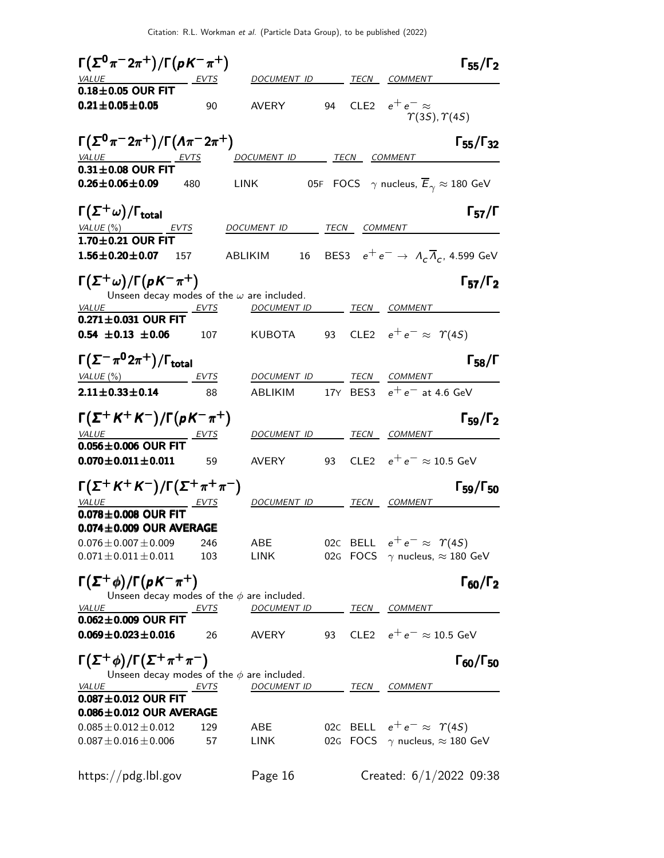| $\Gamma(\Sigma^0 \pi^- 2\pi^+) / \Gamma(pK^- \pi^+)$               |                          |    |              | $\Gamma_{55}/\Gamma_2$                                                     |
|--------------------------------------------------------------------|--------------------------|----|--------------|----------------------------------------------------------------------------|
| VALUE EVTS                                                         | DOCUMENT ID              |    |              | TECN COMMENT                                                               |
| $0.18\pm0.05$ OUR FIT                                              |                          |    |              |                                                                            |
| $0.21 \pm 0.05 \pm 0.05$<br>90                                     | <b>AVERY</b>             | 94 |              | CLE2 $e^+e^- \approx$<br>$\Upsilon(3S), \Upsilon(4S)$                      |
| $\Gamma(\Sigma^{0}\pi^{-}2\pi^{+})/\Gamma(\Lambda\pi^{-}2\pi^{+})$ |                          |    |              | $\Gamma_{55}/\Gamma_{32}$                                                  |
| $\frac{VALUE}{0.31 \pm 0.08}$ OUR FIT                              | DOCUMENT ID TECN         |    |              | <b>COMMENT</b>                                                             |
|                                                                    |                          |    |              |                                                                            |
| $0.26 \pm 0.06 \pm 0.09$<br>480                                    | <b>LINK</b>              |    |              | 05F FOCS $\gamma$ nucleus, $\overline{E}_{\gamma} \approx 180 \text{ GeV}$ |
| $\Gamma(\Sigma^+\omega)/\Gamma_{\rm total}$                        |                          |    |              | $\Gamma_{57}/\Gamma$                                                       |
| VALUE (%)<br>EVTS<br>$1.70 \pm 0.21$ OUR FIT                       | DOCUMENT ID              |    | TECN COMMENT |                                                                            |
| $1.56 \pm 0.20 \pm 0.07$<br>157                                    | 16<br>ABLIKIM            |    |              | BES3 $e^+e^- \rightarrow A_c \overline{A}_c$ , 4.599 GeV                   |
| $\Gamma(\Sigma^+\omega)/\Gamma(\rho K^-\pi^+)$                     |                          |    |              | $\Gamma_{57}/\Gamma_2$                                                     |
| Unseen decay modes of the $\omega$ are included.                   |                          |    |              |                                                                            |
| <b>VALUE</b><br>EVTS<br>$0.271 \pm 0.031$ OUR FIT                  | DOCUMENT ID              |    |              | <b>TECN COMMENT</b>                                                        |
| $0.54 \pm 0.13 \pm 0.06$<br>107                                    | KUBOTA                   |    |              | 93 CLE2 $e^+e^- \approx \Upsilon(4S)$                                      |
| $\Gamma(\Sigma^-\pi^02\pi^+)/\Gamma_{\rm total}$                   |                          |    |              | $\Gamma_{58}/\Gamma$                                                       |
| VALUE (%)<br>EVTS                                                  | DOCUMENT ID              |    |              | TECN COMMENT                                                               |
| $2.11 \pm 0.33 \pm 0.14$<br>88                                     | ABLIKIM                  |    |              | 17Y BES3 $e^+e^-$ at 4.6 GeV                                               |
| $\Gamma(\Sigma^+ K^+ K^-)/\Gamma(pK^-\pi^+)$                       |                          |    |              | $\Gamma_{59}/\Gamma_2$                                                     |
| VALUE<br>$0.056 \pm 0.006$ OUR FIT                                 | DOCUMENT ID TECN COMMENT |    |              |                                                                            |
| $0.070 \pm 0.011 \pm 0.011$<br>59                                  | AVERY                    | 93 |              | CLE2 $e^+e^- \approx 10.5$ GeV                                             |
| $\Gamma(\Sigma^+ K^+ K^-)/\Gamma(\Sigma^+ \pi^+ \pi^-)$            |                          |    |              | $\Gamma_{59}/\Gamma_{50}$                                                  |
| VALUE<br>EVIS                                                      | DOCUMENT ID TECN COMMENT |    |              |                                                                            |
| $0.078 \pm 0.008$ OUR FIT                                          |                          |    |              |                                                                            |
| $0.074 \pm 0.009$ OUR AVERAGE                                      |                          |    |              |                                                                            |
| $0.076 \pm 0.007 \pm 0.009$<br>246                                 | ABE                      |    |              | 02C BELL $e^+e^- \approx \Upsilon(4S)$                                     |
| $0.071 \pm 0.011 \pm 0.011$<br>103                                 | LINK                     |    |              | 02G FOCS $\gamma$ nucleus, $\approx$ 180 GeV                               |
| $\Gamma(\Sigma^+\phi)/\Gamma(pK^-\pi^+)$                           |                          |    |              | $\Gamma_{60}/\Gamma_2$                                                     |
| Unseen decay modes of the $\phi$ are included.<br>VALUE<br>EVTS    | <b>DOCUMENT ID</b>       |    |              | <b>TECN COMMENT</b>                                                        |
| $0.062 \pm 0.009$ OUR FIT                                          |                          |    |              |                                                                            |
| $0.069 \pm 0.023 \pm 0.016$<br>26                                  | AVERY                    | 93 |              | CLE2 $e^+e^- \approx 10.5$ GeV                                             |
| $\Gamma(\Sigma^+\phi)/\Gamma(\Sigma^+\pi^+\pi^-)$                  |                          |    |              | $\Gamma_{60}/\Gamma_{50}$                                                  |
| Unseen decay modes of the $\phi$ are included.<br>VALUE            | <b>DOCUMENT ID</b>       |    |              |                                                                            |
| EVTS<br>$0.087 \pm 0.012$ OUR FIT                                  |                          |    |              | <b>TECN COMMENT</b>                                                        |
| $0.086 \pm 0.012$ OUR AVERAGE                                      |                          |    |              |                                                                            |
| $0.085 \pm 0.012 \pm 0.012$<br>129                                 | ABE                      |    |              | 02C BELL $e^+e^- \approx \Upsilon(4S)$                                     |
| $0.087 \pm 0.016 \pm 0.006$<br>57                                  | LINK                     |    |              | 02G FOCS $\gamma$ nucleus, $\approx$ 180 GeV                               |
| https://pdg.lbl.gov                                                | Page 16                  |    |              | Created: $6/1/2022$ 09:38                                                  |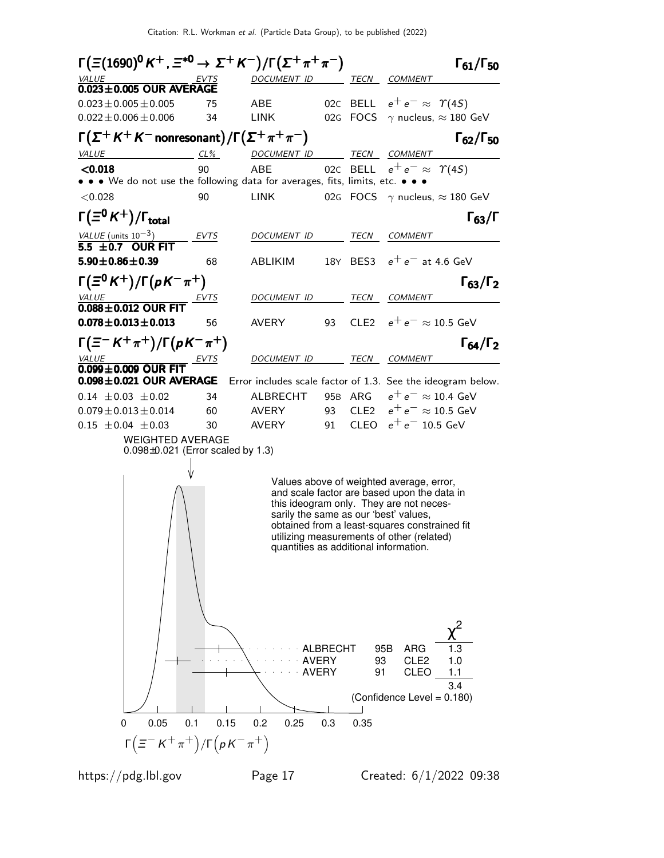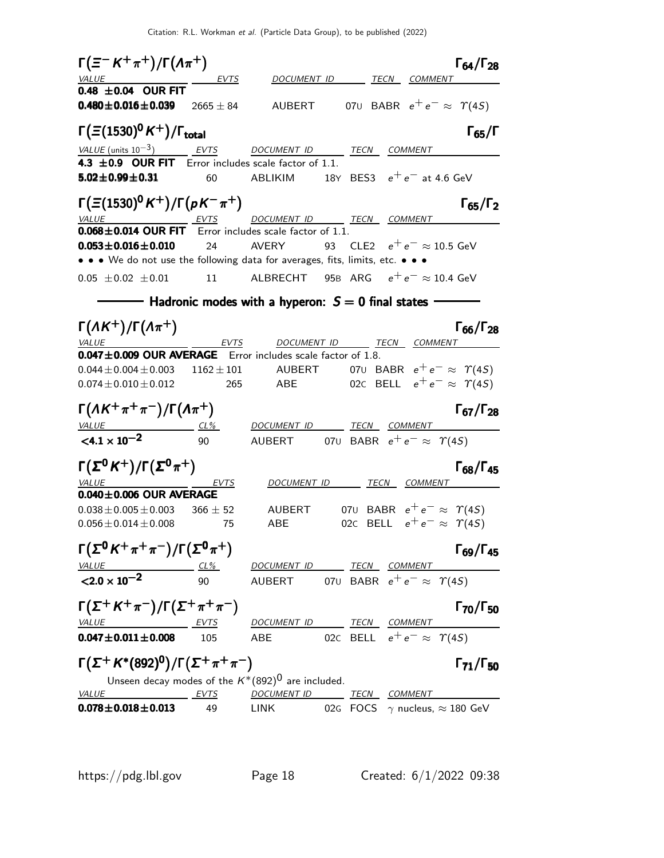| $\Gamma(\equiv^- K^+\pi^+)/\Gamma(\Lambda\pi^+)$<br><b>VALUE</b>                                                | <u>EVTS</u>        |                                                                           |    |              | $\Gamma_{64}/\Gamma_{28}$<br>DOCUMENT ID TECN COMMENT                            |
|-----------------------------------------------------------------------------------------------------------------|--------------------|---------------------------------------------------------------------------|----|--------------|----------------------------------------------------------------------------------|
| $0.48 \pm 0.04$ OUR FIT<br>$0.480 \pm 0.016 \pm 0.039$                                                          | 2665 $\pm$ 84      |                                                                           |    |              | AUBERT 070 BABR $e^+e^- \approx \Upsilon(45)$                                    |
| $\Gamma(\Xi(1530)^{0}K^{+})/\Gamma_{\rm total}$                                                                 |                    |                                                                           |    |              | $\Gamma_{65}/\Gamma$                                                             |
| VALUE (units $10^{-3}$ ) EVTS                                                                                   |                    | DOCUMENT ID TECN COMMENT                                                  |    |              |                                                                                  |
| 4.3 $\pm$ 0.9 OUR FIT Error includes scale factor of 1.1.<br>$5.02 \pm 0.99 \pm 0.31$                           | 60                 | ABLIKIM                                                                   |    |              | 18Y BES3 $e^+e^-$ at 4.6 GeV                                                     |
| $\Gamma(\Xi(1530)^0 K^+)/\Gamma(pK^-\pi^+)$                                                                     |                    |                                                                           |    |              | $\Gamma_{65}/\Gamma_2$                                                           |
| VALUE EVTS DOCUMENT ID TECN COMMENT<br>$\overline{0.068 \pm 0.014}$ OUR FIT Error includes scale factor of 1.1. |                    |                                                                           |    |              |                                                                                  |
| $0.053 \pm 0.016 \pm 0.010$<br>• • • We do not use the following data for averages, fits, limits, etc. • • •    | 24                 | <b>AVERY</b>                                                              | 93 |              | CLE2 $e^+e^- \approx 10.5$ GeV                                                   |
|                                                                                                                 |                    |                                                                           |    |              |                                                                                  |
| $0.05 \pm 0.02 \pm 0.01$ 11                                                                                     |                    |                                                                           |    |              | ALBRECHT 95B ARG $e^+e^- \approx 10.4$ GeV                                       |
|                                                                                                                 |                    | — Hadronic modes with a hyperon: $S=0$ final states                       |    |              |                                                                                  |
| $\Gamma(\Lambda K^+) / \Gamma(\Lambda \pi^+)$<br><i>VALUE</i>                                                   | EVTS               |                                                                           |    |              | $\Gamma_{66}/\Gamma_{28}$<br>DOCUMENT ID TECN COMMENT                            |
| 0.047±0.009 OUR AVERAGE Error includes scale factor of 1.8.                                                     |                    |                                                                           |    |              |                                                                                  |
| $0.044 \pm 0.004 \pm 0.003$                                                                                     | $1162 \pm 101$     |                                                                           |    |              | AUBERT 070 BABR $e^+e^- \approx \Upsilon(4S)$                                    |
| $0.074 \pm 0.010 \pm 0.012$                                                                                     | 265                | ABE                                                                       |    |              | 020 BELL $e^+e^- \approx \Upsilon(45)$                                           |
| $\Gamma(\Lambda K^+\pi^+\pi^-)/\Gamma(\Lambda\pi^+)$                                                            |                    |                                                                           |    |              | $\Gamma_{67}/\Gamma_{28}$                                                        |
| $VALU E$ CL%                                                                                                    |                    | <u>DOCUMENT ID</u>                                                        |    | TECN COMMENT |                                                                                  |
| $< 4.1 \times 10^{-2}$                                                                                          | 90                 | AUBERT 070 BABR $e^+e^- \approx \Upsilon(4S)$                             |    |              |                                                                                  |
| $\Gamma(\Sigma^0 K^+)/\Gamma(\Sigma^0 \pi^+)$<br>VALUE                                                          | EVTS               | DOCUMENT ID TECN COMMENT                                                  |    |              | $\Gamma_{68}/\Gamma_{45}$                                                        |
| $0.040 \pm 0.006$ OUR AVERAGE                                                                                   |                    |                                                                           |    |              |                                                                                  |
| $0.038 \pm 0.005 \pm 0.003$<br>$0.056 \pm 0.014 \pm 0.008$                                                      | $366 \pm 52$<br>75 | AUBERT<br>ABE                                                             |    |              | 070 BABR $e^+e^- \approx \Upsilon(45)$<br>020 BELL $e^+e^- \approx \Upsilon(45)$ |
| $\Gamma(\Sigma^0 K^+\pi^+\pi^-)/\Gamma(\Sigma^0 \pi^+)$                                                         |                    |                                                                           |    |              | $\Gamma_{69}/\Gamma_{45}$                                                        |
| <u>VALUE</u><br>$CL\%$<br>$< 2.0 \times 10^{-2}$                                                                | 90                 | DOCUMENT ID TECN COMMENT<br>AUBERT 070 BABR $e^+e^- \approx \Upsilon(45)$ |    |              |                                                                                  |
| $\Gamma(\Sigma^+ K^+ \pi^-)/\Gamma(\Sigma^+ \pi^+ \pi^-)$                                                       |                    |                                                                           |    |              | $\Gamma_{70}/\Gamma_{50}$                                                        |
| <u>VALUE EVTS</u>                                                                                               |                    | DOCUMENT ID TECN COMMENT                                                  |    |              |                                                                                  |
| $0.047 \pm 0.011 \pm 0.008$                                                                                     | 105                | ABE                                                                       |    |              | 020 BELL $e^+e^- \approx \Upsilon(45)$                                           |
| $\Gamma(\Sigma^+ K^{*}(892)^{0})/\Gamma(\Sigma^+\pi^+\pi^-)$                                                    |                    |                                                                           |    |              | $\Gamma_{71}/\Gamma_{50}$                                                        |
| Unseen decay modes of the $K^*(892)^0$ are included.<br><b>EVTS</b><br>VALUE                                    |                    |                                                                           |    |              |                                                                                  |
| $0.078 \pm 0.018 \pm 0.013$                                                                                     | 49                 | DOCUMENT ID TECN COMMENT<br><b>LINK</b>                                   |    |              | 02G FOCS $\gamma$ nucleus, $\approx$ 180 GeV                                     |
|                                                                                                                 |                    |                                                                           |    |              |                                                                                  |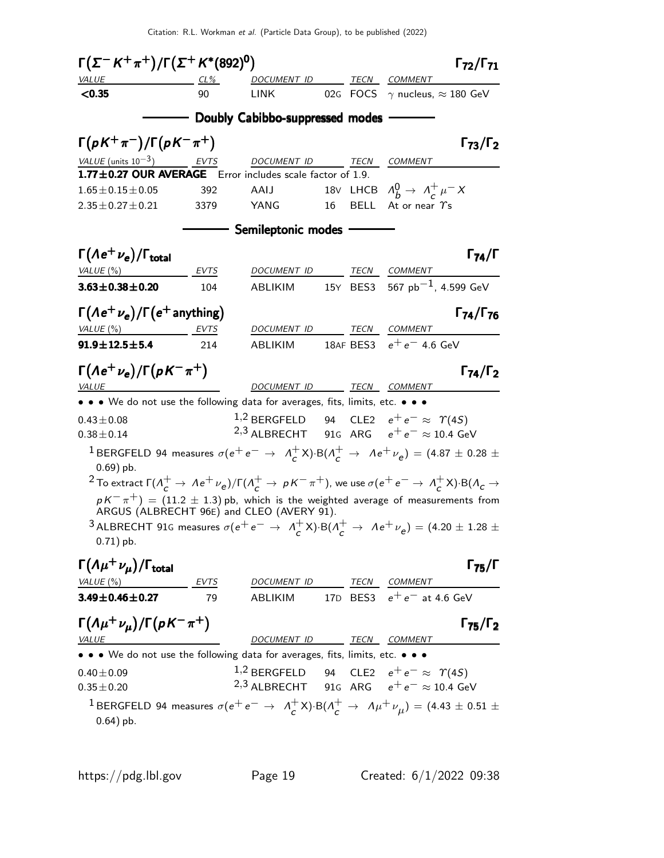| $\Gamma(\Sigma^- K^+ \pi^+) / \Gamma(\Sigma^+ K^*(892)^0)$                                                                                                                                                                                                                                                                                 |                  |                                                                                                                 |    |                                                        | $\Gamma_{72}/\Gamma_{71}$ |
|--------------------------------------------------------------------------------------------------------------------------------------------------------------------------------------------------------------------------------------------------------------------------------------------------------------------------------------------|------------------|-----------------------------------------------------------------------------------------------------------------|----|--------------------------------------------------------|---------------------------|
| VALUE                                                                                                                                                                                                                                                                                                                                      | $CL\%$           | DOCUMENT ID                                                                                                     |    | TECN COMMENT                                           |                           |
| < 0.35                                                                                                                                                                                                                                                                                                                                     | 90               | <b>LINK</b>                                                                                                     |    | 02G FOCS $\gamma$ nucleus, $\approx$ 180 GeV           |                           |
|                                                                                                                                                                                                                                                                                                                                            |                  | Doubly Cabibbo-suppressed modes                                                                                 |    |                                                        |                           |
| $\Gamma(pK^+\pi^-)/\Gamma(pK^-\pi^+)$                                                                                                                                                                                                                                                                                                      |                  |                                                                                                                 |    |                                                        | $\Gamma_{73}/\Gamma_2$    |
| VALUE (units $10^{-3}$ )                                                                                                                                                                                                                                                                                                                   | $\frac{EVTS}{E}$ | DOCUMENT ID                                                                                                     |    | TECN COMMENT                                           |                           |
| 1.77±0.27 OUR AVERAGE Error includes scale factor of 1.9.                                                                                                                                                                                                                                                                                  |                  |                                                                                                                 |    |                                                        |                           |
| $1.65 \pm 0.15 \pm 0.05$                                                                                                                                                                                                                                                                                                                   | 392              | AAIJ                                                                                                            |    | 18V LHCB $\Lambda_h^0 \rightarrow \Lambda_c^+ \mu^- X$ |                           |
| $2.35 \pm 0.27 \pm 0.21$                                                                                                                                                                                                                                                                                                                   | 3379             | YANG                                                                                                            | 16 | BELL At or near $\gamma$ s                             |                           |
|                                                                                                                                                                                                                                                                                                                                            |                  | - Semileptonic modes -                                                                                          |    |                                                        |                           |
| $\Gamma(\Lambda e^+\nu_e)/\Gamma_{\rm total}$                                                                                                                                                                                                                                                                                              |                  |                                                                                                                 |    |                                                        | $\Gamma_{74}/\Gamma$      |
| VALUE (%)                                                                                                                                                                                                                                                                                                                                  | EVTS             | DOCUMENT ID                                                                                                     |    | TECN COMMENT                                           |                           |
| $3.63 \pm 0.38 \pm 0.20$                                                                                                                                                                                                                                                                                                                   | 104              | ABLIKIM                                                                                                         |    | 15Y BES3 567 $pb^{-1}$ , 4.599 GeV                     |                           |
| $\Gamma(Ae^+\nu_e)/\Gamma(e^+$ anything)                                                                                                                                                                                                                                                                                                   |                  |                                                                                                                 |    |                                                        | $\Gamma_{74}/\Gamma_{76}$ |
| VALUE $(\%)$                                                                                                                                                                                                                                                                                                                               | EVTS             | DOCUMENT ID                                                                                                     |    | TECN COMMENT                                           |                           |
| $91.9 \pm 12.5 \pm 5.4$                                                                                                                                                                                                                                                                                                                    | 214              | <b>ABLIKIM</b>                                                                                                  |    | 18AF BES3 $e^+e^-$ 4.6 GeV                             |                           |
| $\Gamma(\Lambda e^+ \nu_e)/\Gamma(\rho K^- \pi^+)$                                                                                                                                                                                                                                                                                         |                  |                                                                                                                 |    |                                                        | $\Gamma_{74}/\Gamma_2$    |
| <b>VALUE</b>                                                                                                                                                                                                                                                                                                                               |                  | DOCUMENT ID TECN COMMENT                                                                                        |    |                                                        |                           |
| • • • We do not use the following data for averages, fits, limits, etc. • • •                                                                                                                                                                                                                                                              |                  |                                                                                                                 |    |                                                        |                           |
| $0.43 \pm 0.08$                                                                                                                                                                                                                                                                                                                            |                  | <sup>1,2</sup> BERGFELD 94 CLE2 $e^+e^- \approx \Upsilon(45)$<br>2,3 ALBRECHT 91G ARG $e^+e^- \approx 10.4$ GeV |    |                                                        |                           |
| $0.38 \pm 0.14$                                                                                                                                                                                                                                                                                                                            |                  |                                                                                                                 |    |                                                        |                           |
| <sup>1</sup> BERGFELD 94 measures $\sigma(e^+e^- \rightarrow A_c^+X) \cdot B(A_c^+ \rightarrow Ae^+\nu_e) = (4.87 \pm 0.28 \pm 0.28)$<br>$0.69$ ) pb.<br><sup>2</sup> To extract $\Gamma(\Lambda_c^+ \to \Lambda e^+ \nu_e)/\Gamma(\Lambda_c^+ \to pK^-\pi^+)$ , we use $\sigma(e^+e^-\to \Lambda_c^+X)\cdot B(\Lambda_c \to \Lambda_c^+)$ |                  |                                                                                                                 |    |                                                        |                           |
| $pK^-\pi^+$ ) = (11.2 $\pm$ 1.3) pb, which is the weighted average of measurements from<br>ARGUS (ALBRECHT 96E) and CLEO (AVERY 91).                                                                                                                                                                                                       |                  |                                                                                                                 |    |                                                        |                           |
| 3 ALBRECHT 91G measures $\sigma(e^+e^- \rightarrow A_c^+X)$ ·B $(A_c^+ \rightarrow Ae^+\nu_e) = (4.20 \pm 1.28 \pm 1.25)$<br>$0.71$ ) pb.                                                                                                                                                                                                  |                  |                                                                                                                 |    |                                                        |                           |
| $\Gamma(\Lambda \mu^+ \nu_{\mu})/\Gamma_{\rm total}$                                                                                                                                                                                                                                                                                       |                  |                                                                                                                 |    |                                                        | $\Gamma_{75}/\Gamma$      |
| VALUE $(\%)$                                                                                                                                                                                                                                                                                                                               | <b>EVTS</b>      | DOCUMENT ID                                                                                                     |    | TECN COMMENT                                           |                           |
| $3.49 \pm 0.46 \pm 0.27$                                                                                                                                                                                                                                                                                                                   | 79               | ABLIKIM                                                                                                         |    | 17D BES3 $e^+e^-$ at 4.6 GeV                           |                           |
| $\Gamma(\Lambda \mu^+ \nu_\mu)/\Gamma(\rho K^- \pi^+)$<br>VALUE                                                                                                                                                                                                                                                                            |                  | DOCUMENT ID TECN COMMENT                                                                                        |    |                                                        | $\Gamma_{75}/\Gamma_2$    |
| • • • We do not use the following data for averages, fits, limits, etc. • • •                                                                                                                                                                                                                                                              |                  |                                                                                                                 |    |                                                        |                           |
| $0.40 \pm 0.09$                                                                                                                                                                                                                                                                                                                            |                  | <sup>1,2</sup> BERGFELD 94 CLE2 $e^+e^- \approx \Upsilon(45)$                                                   |    |                                                        |                           |
| $0.35 \pm 0.20$                                                                                                                                                                                                                                                                                                                            |                  | <sup>2,3</sup> ALBRECHT 91G ARG $e^+e^- \approx 10.4$ GeV                                                       |    |                                                        |                           |
| <sup>1</sup> BERGFELD 94 measures $\sigma(e^+e^- \rightarrow A_C^+X)$ ·B $(A_C^+ \rightarrow A\mu^+\nu_\mu)=(4.43\pm0.51\pm0.51)$<br>$0.64$ ) pb.                                                                                                                                                                                          |                  |                                                                                                                 |    |                                                        |                           |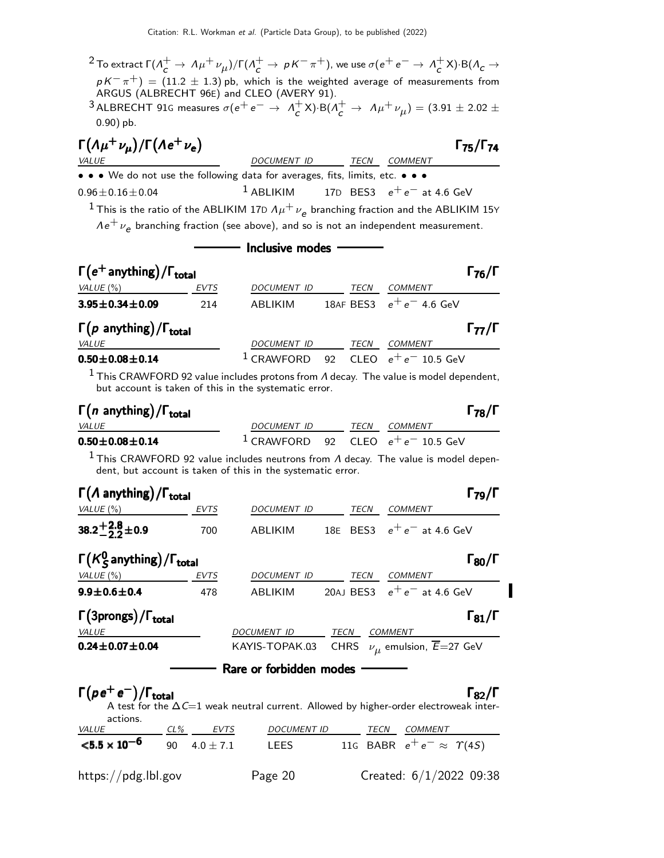$^2$  To extract Γ( $\Lambda_c^+\to\Lambda\mu^+\nu_{\mu})$ /Γ( $\Lambda_c^+\to\,$  p K $^-\pi^+)$ , we use  $\sigma(e^+e^-\to\Lambda_c^+)$  $_{c}^{+}$ X)·B( $\Lambda_{c}$   $\rightarrow$  $p$   $K^-\pi^+) \,=\, (11.2\,\pm\,1.3)$  pb, which is the weighted average of measurements from ARGUS (ALBRECHT 96E) and CLEO (AVERY 91).

3 ALBRECHT 91G measures  $\sigma(e^+e^- \rightarrow A^+e^-)$  $c^+$ X)·B( $\Lambda_c^+ \to \Lambda \mu^+ \nu_\mu$ ) = (3.91 ± 2.02 ± 0.90) pb.

| $\Gamma(\Lambda \mu^+ \nu_{\mu})/\Gamma(\Lambda e^+ \nu_e)$                                                    |                                                   |  |                | $\Gamma_{75}/\Gamma_{74}$ |
|----------------------------------------------------------------------------------------------------------------|---------------------------------------------------|--|----------------|---------------------------|
| <i>VALUE</i>                                                                                                   | DOCUMENT ID TECN                                  |  | <i>COMMENT</i> |                           |
| • • • We do not use the following data for averages, fits, limits, etc. • • •                                  |                                                   |  |                |                           |
| $0.96 \pm 0.16 \pm 0.04$                                                                                       | <sup>1</sup> ABLIKIM 17D BES3 $e^+e^-$ at 4.6 GeV |  |                |                           |
| <sup>1</sup> This is the ratio of the ABLIKIM 17D $\Lambda \mu^+ \nu_a$ branching fraction and the ABLIKIM 15Y |                                                   |  |                |                           |

 $A\,e^+\,\nu_{\bm{e}}$  branching fraction (see above), and so is not an independent measurement.

## - Inclusive modes -

| $\Gamma(e^+$ anything) / $\Gamma_{\text{total}}$   |             |                    |  |      |                                              | $\Gamma_{76}/\Gamma$ |
|----------------------------------------------------|-------------|--------------------|--|------|----------------------------------------------|----------------------|
| VALUE $(\% )$                                      | <b>EVTS</b> | <b>DOCUMENT ID</b> |  | TECN | <b>COMMENT</b>                               |                      |
| $3.95 \pm 0.34 \pm 0.09$                           | 214         | <b>ABLIKIM</b>     |  |      | 18AF BES3 $e^+e^-$ 4.6 GeV                   |                      |
| $\Gamma(p \text{ anything})/\Gamma_{\text{total}}$ |             |                    |  |      |                                              | $\Gamma_{77}/\Gamma$ |
| <i>VALUE</i>                                       |             | <b>DOCUMENT ID</b> |  | TECN | <b>COMMENT</b>                               |                      |
| $0.50 \pm 0.08 \pm 0.14$                           |             | $1$ CRAWFORD       |  |      | 92 $\,$ CLEO $\,$ e $^{+}$ e $^{-}$ 10.5 GeV |                      |

<sup>1</sup> This CRAWFORD 92 value includes protons from  $\Lambda$  decay. The value is model dependent, but account is taken of this in the systematic error.

| $\Gamma(n$ anything)/ $\Gamma_{\rm total}$ |                                        |      | $\Gamma_{78}/\Gamma$ |
|--------------------------------------------|----------------------------------------|------|----------------------|
| <b>VALUE</b>                               | DOCUMENT ID                            | TECN | <i>COMMENT</i>       |
| $0.50\!\pm\!0.08\!\pm\!0.14$               | $1$ CRAWFORD 92 CLEO $e^+e^-$ 10.5 GeV |      |                      |

<sup>1</sup> This CRAWFORD 92 value includes neutrons from  $\Lambda$  decay. The value is model dependent, but account is taken of this in the systematic error.

| $\Gamma(\Lambda \text{ anything})/\Gamma_{\text{total}}$ |             |                         |      |             | $\Gamma_{79}/\Gamma$                                                                                                 |
|----------------------------------------------------------|-------------|-------------------------|------|-------------|----------------------------------------------------------------------------------------------------------------------|
| VALUE $(\%)$                                             | EVTS        | DOCUMENT ID             |      | <b>TECN</b> | <b>COMMENT</b>                                                                                                       |
| 38.2 <sup>+2.8</sup> ± 0.9                               | 700         | ABLIKIM                 |      | 18E BES3    | $e^+e^-$ at 4.6 GeV                                                                                                  |
| $\Gamma(K_S^0)$ anything) / $\Gamma_{total}$             |             |                         |      |             | $\Gamma_{80}/\Gamma$                                                                                                 |
| VALUE $(\%)$                                             | <b>EVTS</b> | <i>DOCUMENT ID</i>      |      | TECN        | <b>COMMENT</b>                                                                                                       |
| $9.9 \pm 0.6 \pm 0.4$                                    | 478         | ABLIKIM                 |      | 20AJ BES3   | $e^+e^-$ at 4.6 GeV                                                                                                  |
| $\Gamma(3$ prongs) / $\Gamma_{total}$                    |             |                         |      |             | $\Gamma_{81}/\Gamma$                                                                                                 |
| VALUE                                                    |             | DOCUMENT ID             | TECN |             | <b>COMMENT</b>                                                                                                       |
| $0.24 \pm 0.07 \pm 0.04$                                 |             | KAYIS-TOPAK.03          |      | <b>CHRS</b> | $\nu_{\mu}$ emulsion, $\overline{E}$ =27 GeV                                                                         |
|                                                          |             | Rare or forbidden modes |      |             |                                                                                                                      |
| $\Gamma(\rho e^+ e^-)/\Gamma_{\text{total}}$<br>actions. |             |                         |      |             | $\Gamma_{82}/\Gamma$<br>A test for the $\Delta C=1$ weak neutral current. Allowed by higher-order electroweak inter- |

| <i>VALUE</i>                   | CL% | EVTS           | <i>DOCUMENT ID</i> |  | TECN COMMENT                           |
|--------------------------------|-----|----------------|--------------------|--|----------------------------------------|
| $<$ 5.5 $\times$ 10 $^{-6}$    |     | 90 $4.0 + 7.1$ | LEES               |  | 116 BABR $e^+e^- \approx \Upsilon(45)$ |
| $\frac{https://pdg.1b1.gov}{%$ |     |                | Page 20            |  | Created: $6/1/2022$ 09:38              |

## $\Gamma_{\text{max}}/\Gamma$

I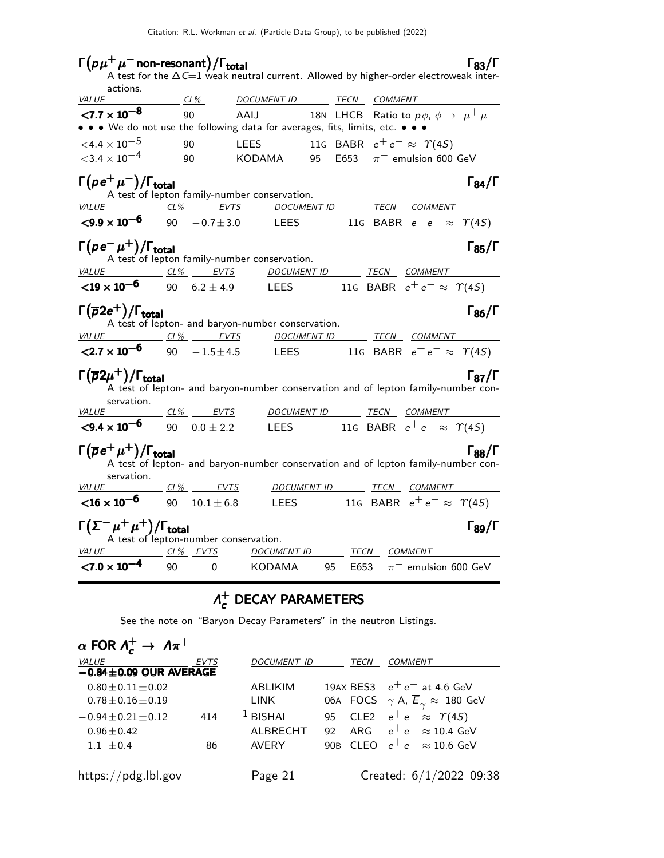# $\Gamma(p\mu^+\mu^-)$  non-resonant) / $\Gamma_{\text{total}}$  [83/Γ

|                                                                                                         |                            |                                                   |             | A test for the $\Delta C=1$ weak neutral current. Allowed by higher-order electroweak inter- |                      |
|---------------------------------------------------------------------------------------------------------|----------------------------|---------------------------------------------------|-------------|----------------------------------------------------------------------------------------------|----------------------|
| actions.<br>VALUE                                                                                       | $CL\%$                     | DOCUMENT ID TECN COMMENT                          |             |                                                                                              |                      |
| $< 7.7 \times 10^{-8}$<br>• • • We do not use the following data for averages, fits, limits, etc. • • • | 90                         | AAIJ                                              |             | 18N LHCB Ratio to $p\phi$ , $\phi \rightarrow \mu^+ \mu^-$                                   |                      |
| $\leq 4.4 \times 10^{-5}$<br>$<$ 3.4 $\times$ 10 <sup>-4</sup>                                          | 90<br>90                   | KODAMA                                            | 95          | LEES 11G BABR $e^+e^- \approx \Upsilon(4S)$<br>E653 $\pi^-$ emulsion 600 GeV                 |                      |
| $\Gamma(\rho\,\mathrm{e}^+\,\mu^-)/\Gamma_\mathrm{total}$                                               |                            | A test of lepton family-number conservation.      |             |                                                                                              | $\Gamma_{84}/\Gamma$ |
| VALUE CL% EVTS                                                                                          |                            |                                                   |             | DOCUMENT ID TECN COMMENT                                                                     |                      |
| $\leq$ 9.9 $\times$ 10 <sup>-6</sup> 90 $-0.7 \pm 3.0$                                                  |                            | LEES                                              |             | 116 BABR $e^+e^- \approx \Upsilon(45)$                                                       |                      |
| $\Gamma(\rho e^-\mu^+)/\Gamma_{\rm total}$<br><i>VALUE</i>                                              | $CL\%$ EVTS                | A test of lepton family-number conservation.      |             | <u>DOCUMENT ID _______ TECN ___COMMENT _______</u>                                           | $\Gamma_{85}/\Gamma$ |
| ${<}19 \times 10^{-6}$<br>90                                                                            | $6.2 \pm 4.9$              | <b>LEES</b>                                       |             | 11G BABR $e^+e^- \approx \Upsilon(4S)$                                                       |                      |
| $\Gamma(\overline{\rho}2e^+)/\Gamma_{\rm total}$                                                        |                            | A test of lepton- and baryon-number conservation. |             |                                                                                              | $\Gamma_{86}/\Gamma$ |
| VALUE CL% EVTS<br>$<$ 2.7 $\times$ 10 <sup>-6</sup>                                                     | 90                         | $-1.5 \pm 4.5$ LEES                               | DOCUMENT ID | <u>TECN COMMENT TECN</u><br>11G BABR $e^+e^- \approx \Upsilon(4S)$                           |                      |
| $\Gamma(\overline{\rho}2\mu^+)/\Gamma_{\rm total}$<br>servation.                                        |                            |                                                   |             | A test of lepton- and baryon-number conservation and of lepton family-number con-            | $\Gamma_{87}/\Gamma$ |
| VALUE                                                                                                   |                            |                                                   |             |                                                                                              |                      |
| $\leq$ <b>9.4</b> $\times$ 10 <sup>-6</sup> 90 0.0 $\pm$ 2.2                                            |                            | <b>LEES</b>                                       |             | 116 BABR $e^+e^- \approx \Upsilon(45)$                                                       |                      |
| $\Gamma(\overline{\rho}\,{\rm e}^+\,\mu^+)/\Gamma_{\rm total}$<br>servation.                            |                            |                                                   |             | A test of lepton- and baryon-number conservation and of lepton family-number con-            | $\Gamma_{88}/\Gamma$ |
| <u>VALUE</u>                                                                                            | <u>___ CL% ______ EVTS</u> |                                                   |             | DOCUMENT ID TECN COMMENT                                                                     |                      |
| ${<}16 \times 10^{-6}$                                                                                  | 90                         |                                                   |             | 10.1 $\pm$ 6.8 LEES 11G BABR $e^+e^- \approx \Upsilon(4S)$                                   |                      |
| $\Gamma(\Sigma^{-}\mu^{+}\mu^{+})/\Gamma_{\text{total}}$<br>A test of lepton-number conservation.       |                            |                                                   |             |                                                                                              | $\Gamma_{89}/\Gamma$ |
| <b>VALUE</b><br>$< 7.0 \times 10^{-4}$                                                                  | $CL\%$ EVTS<br>90<br>0     | <u>DOCUMENT ID</u><br><b>KODAMA</b>               | E653<br>95  | <i>TECN COMMENT</i><br>$\pi^-$ emulsion 600 GeV                                              |                      |
|                                                                                                         |                            |                                                   |             |                                                                                              |                      |

### $Λ^+_{c}$  $\vec{c}$  DECAY PARAMETERS

See the note on "Baryon Decay Parameters" in the neutron Listings.

| $\alpha$ FOR $\Lambda_c^+ \to \Lambda \pi^+$ |             |                    |      |                                                              |
|----------------------------------------------|-------------|--------------------|------|--------------------------------------------------------------|
| <b>VALUE</b>                                 | <b>EVTS</b> | <b>DOCUMENT ID</b> | TECN | <b>COMMENT</b>                                               |
| $-0.84 \pm 0.09$ OUR AVERAGE                 |             |                    |      |                                                              |
| $-0.80 \pm 0.11 \pm 0.02$                    |             | <b>ABLIKIM</b>     |      | 19AX BES3 $e^+e^-$ at 4.6 GeV                                |
| $-0.78 \pm 0.16 \pm 0.19$                    |             | <b>LINK</b>        |      | 06A FOCS $\gamma$ A, $\overline{E}_{\gamma} \approx 180$ GeV |
| $-0.94 \pm 0.21 \pm 0.12$                    | 414         | $1$ BISHAI         |      | 95 CLE2 $e^+e^- \approx \Upsilon(4S)$                        |
| $-0.96 \pm 0.42$                             |             | ALBRECHT           | 92   | ARG $e^+e^- \approx 10.4$ GeV                                |
| $-1.1 \pm 0.4$                               | 86          | <b>AVERY</b>       |      | 90B CLEO $e^+e^- \approx 10.6$ GeV                           |
|                                              |             |                    |      |                                                              |
| https://pdg.lbl.gov                          |             | Page 21            |      | Created: $6/1/2022$ 09:38                                    |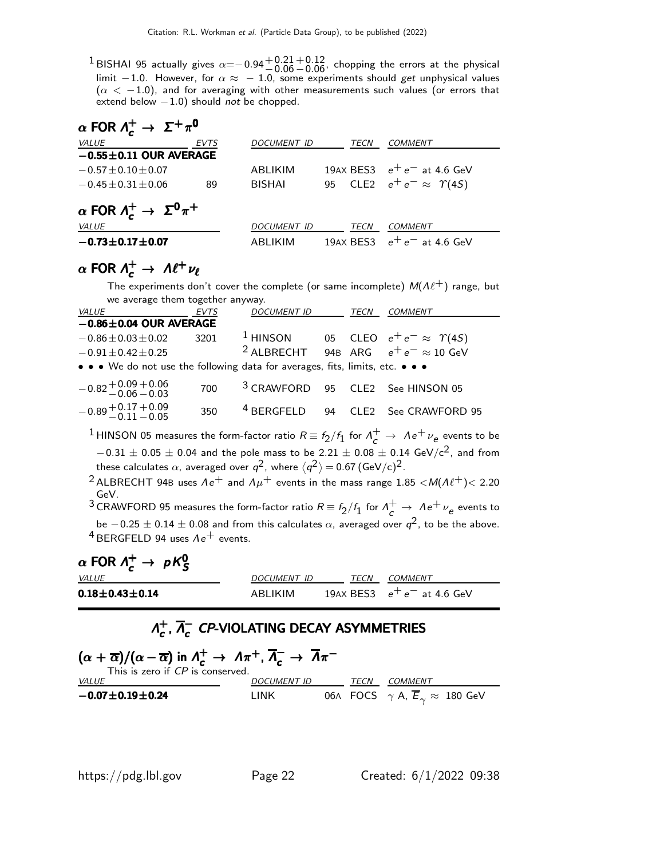<sup>1</sup> BISHAI 95 actually gives  $\alpha = -0.94 + 0.21$  $+0.12$ , chopping the errors at the physical limit −1.0. However, for  $\alpha \approx -1.0$ , some experiments should get unphysical values  $(\alpha < -1.0)$ , and for averaging with other measurements such values (or errors that extend below  $-1.0$ ) should not be chopped.

$$
\alpha \text{ FOR } \Lambda_c^+ \to \Sigma^+ \pi^0
$$

| <i>VALUE</i>                                                  | <b>EVTS</b> | DOCUMENT ID        | TECN | COMMENT                               |
|---------------------------------------------------------------|-------------|--------------------|------|---------------------------------------|
| $-0.55 \pm 0.11$ OUR AVERAGE                                  |             |                    |      |                                       |
| $-0.57 \pm 0.10 \pm 0.07$                                     |             | ABLIKIM            |      | 19AX BES3 $e^+e^-$ at 4.6 GeV         |
| $-0.45 + 0.31 + 0.06$                                         | 89          | <b>BISHAI</b>      |      | 95 CLE2 $e^+e^- \approx \Upsilon(4S)$ |
| $\alpha$ FOR $\Lambda_c^+ \to \Sigma^0 \pi^+$<br><b>VALUE</b> |             | <i>DOCUMENT ID</i> | TECN | COMMENT                               |
| $-0.73 \pm 0.17 \pm 0.07$                                     |             | ABLIKIM            |      | 19AX BES3 $e^+e^-$ at 4.6 GeV         |

# $\alpha$  FOR  $\Lambda_c^+ \to \Lambda \ell^+ \nu_\ell$

The experiments don't cover the complete (or same incomplete)  $M(\Lambda\ell^+)$  range, but we average them together anyway.

| <b>VALUE</b>                                                                  | <b>EVTS</b> | <b>DOCUMENT ID</b> | <b>TECN</b> | <b>COMMENT</b>                                            |
|-------------------------------------------------------------------------------|-------------|--------------------|-------------|-----------------------------------------------------------|
| $-0.86 \pm 0.04$ OUR AVERAGE                                                  |             |                    |             |                                                           |
| $-0.86 \pm 0.03 \pm 0.02$                                                     | 3201        |                    |             | <sup>1</sup> HINSON 05 CLEO $e^+e^- \approx \Upsilon(4S)$ |
| $-0.91 \pm 0.42 \pm 0.25$                                                     |             |                    |             | <sup>2</sup> ALBRECHT 94B ARG $e^+e^- \approx 10$ GeV     |
| • • • We do not use the following data for averages, fits, limits, etc. • • • |             |                    |             |                                                           |
| $-0.82 + 0.09 + 0.06$<br>$-0.06 - 0.03$                                       | 700         |                    |             | <sup>3</sup> CRAWFORD 95 CLE2 See HINSON 05               |
| $-0.89 + 0.17 + 0.09$<br>$-0.11 - 0.05$                                       | 350         |                    |             | <sup>4</sup> BERGFELD 94 CLE2 See CRAWFORD 95             |
|                                                                               |             |                    |             |                                                           |

 $^1$ HINSON 05 measures the form-factor ratio  $R \equiv f_2/f_1$  for  $\Lambda_c^+ \to \Lambda e^+ \nu_e$  events to be  $-0.31 \pm 0.05 \pm 0.04$  and the pole mass to be 2.21  $\pm$  0.08  $\pm$  0.14 GeV/c<sup>2</sup>, and from these calculates  $\alpha$ , averaged over  $q^2$ , where  $\langle q^2 \rangle$   $=$  0.67 (GeV/c) $^2$ .

<sup>2</sup> ALBRECHT 94B uses  $\Lambda e^+$  and  $\Lambda \mu^+$  events in the mass range 1.85 < M( $\Lambda \ell^+$ ) < 2.20 GeV.

 $^3$ CRAWFORD 95 measures the form-factor ratio  $R \equiv f_2/f_1$  for  $\Lambda_c^+ \to \Lambda e^+ \nu_e$  events to be  $-0.25\pm0.14\pm0.08$  and from this calculates  $\alpha$ , averaged over  $q^2$ , to be the above.  $4$  BERGFELD 94 uses  $Ae^+$  events.

α FOR Λ + <sup>c</sup> <sup>→</sup> pK<sup>0</sup> S α FOR Λ + <sup>c</sup> pK<sup>0</sup> <sup>α</sup>S<sup>Λ</sup> <sup>+</sup><sup>c</sup> <sup>→</sup> pK<sup>0</sup> αΛ <sup>+</sup><sup>c</sup> pK<sup>0</sup>

| <b>VALUE</b>                 | DOCUMENT ID | TFCN | <i>COMMENT</i>                |
|------------------------------|-------------|------|-------------------------------|
| $0.18\!\pm\!0.43\!\pm\!0.14$ | ABI IKIM    |      | 19AX BES3 $e^+e^-$ at 4.6 GeV |

### $Λ_{c}^{+}$  $_{c}^{+}, \overline{\Lambda}_{c}^{-}$  $\Lambda_c^+$ ,  $\overline{\Lambda}_c^-$  CP-VIOLATING DECAY ASYMMETRIES

| $(\alpha + \overline{\alpha})/(\alpha - \overline{\alpha})$ in $\Lambda_c^+ \to \Lambda \pi^+$ , $\overline{\Lambda}_c^- \to \overline{\Lambda} \pi^-$<br>This is zero if CP is conserved. |                    |  |      |                                                              |  |
|--------------------------------------------------------------------------------------------------------------------------------------------------------------------------------------------|--------------------|--|------|--------------------------------------------------------------|--|
| <i>VALUE</i>                                                                                                                                                                               | <b>DOCUMENT ID</b> |  | TECN | <i>COMMENT</i>                                               |  |
| $-0.07 \pm 0.19 \pm 0.24$                                                                                                                                                                  | I INK              |  |      | 06A FOCS $\gamma$ A, $\overline{E}_{\gamma} \approx 180$ GeV |  |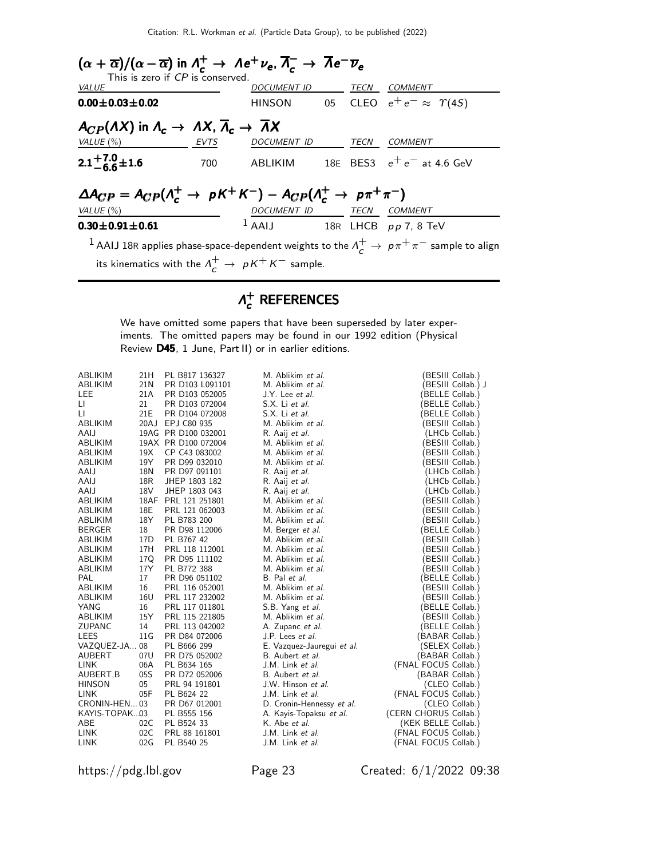| $(\alpha + \overline{\alpha})/(\alpha - \overline{\alpha})$ in $\Lambda_c^+ \to \Lambda e^+ \nu_e$ , $\overline{\Lambda}_c^- \to \overline{\Lambda}e^- \overline{\nu}_e$ |                                 |  |                                                                                                                         |
|--------------------------------------------------------------------------------------------------------------------------------------------------------------------------|---------------------------------|--|-------------------------------------------------------------------------------------------------------------------------|
| This is zero if CP is conserved.<br><b>VALUE</b>                                                                                                                         | DOCUMENT ID TECN COMMENT        |  |                                                                                                                         |
| $0.00 \pm 0.03 \pm 0.02$                                                                                                                                                 |                                 |  | HINSON 05 CLEO $e^+e^- \approx \Upsilon(4S)$                                                                            |
| $A_{CP}(AX)$ in $\Lambda_c \to AX$ , $\overline{\Lambda}_c \to \overline{\Lambda}X$                                                                                      |                                 |  |                                                                                                                         |
| VALUE $(\%)$<br>EVTS                                                                                                                                                     | DOCUMENT ID TECN COMMENT        |  |                                                                                                                         |
| $2.1^{+7.0}_{-6.6}$ ± 1.6                                                                                                                                                |                                 |  | 700 ABLIKIM 18E BES3 $e^+e^-$ at 4.6 GeV                                                                                |
| $\Delta A_{CP} = A_{CP}(\Lambda_c^+ \to pK^+K^-) - A_{CP}(\Lambda_c^+ \to p\pi^+\pi^-)$                                                                                  |                                 |  |                                                                                                                         |
| VALUE $(\%)$                                                                                                                                                             | DOCUMENT ID TECN COMMENT        |  |                                                                                                                         |
| $0.30 \pm 0.91 \pm 0.61$                                                                                                                                                 | $1$ AAIJ 18R LHCB $pp$ 7, 8 TeV |  |                                                                                                                         |
|                                                                                                                                                                          |                                 |  | $^{-1}$ AAIJ 18R applies phase-space-dependent weights to the $\Lambda^+_\epsilon \to \, p \pi^+ \pi^-$ sample to align |
| its kinematics with the $\Lambda_c^+ \to pK^+K^-$ sample.                                                                                                                |                                 |  |                                                                                                                         |

### $Λ^+$  $\vec{c}$  references

We have omitted some papers that have been superseded by later experiments. The omitted papers may be found in our 1992 edition (Physical Review D45, 1 June, Part II) or in earlier editions.

| ABLIKIM<br><b>ABLIKIM</b> | 21H<br>21 <sub>N</sub> | PL B817 136327<br>PR D103 L091101 | M. Ablikim et al.<br>M. Ablikim et al. | BESIII Collab.)                     |
|---------------------------|------------------------|-----------------------------------|----------------------------------------|-------------------------------------|
| <b>LEE</b>                | 21A                    | PR D103 052005                    | J.Y. Lee et al.                        | BESIII Collab.) J<br>BELLE Collab.) |
| LI.                       | 21                     | PR D103 072004                    | S.X. Li et al.                         | BELLE Collab.)                      |
| LI                        | 21E                    | PR D104 072008                    | S.X. Li et al.                         | (BELLE Collab.)                     |
| <b>ABLIKIM</b>            |                        | 20AJ EPJ C80 935                  | M. Ablikim et al.                      | (BESIII Collab.)                    |
| AAIJ                      |                        | 19AG PR D100 032001               | R. Aaij et al.                         | (LHCb Collab.)                      |
| ABLIKIM                   |                        | 19AX PR D100 072004               | M. Ablikim et al.                      | (BESIII Collab.)                    |
| ABLIKIM                   | 19X                    | CP C43 083002                     | M. Ablikim et al.                      | BESIII Collab.)                     |
| ABLIKIM                   | 19Y                    | PR D99 032010                     | M. Ablikim et al.                      | BESIII Collab.)                     |
| AAIJ                      | 18N                    | PR D97 091101                     | R. Aaij et al.                         | (LHCb Collab.)                      |
| AAIJ                      | 18R                    | JHEP 1803 182                     | R. Aaij et al.                         | (LHCb Collab.)                      |
| AAIJ                      | 18V                    | JHEP 1803 043                     | R. Aaij et al.                         | (LHCb Collab.)                      |
| ABLIKIM                   |                        | 18AF PRL 121 251801               | M. Ablikim et al.                      | BESIII Collab.)                     |
| <b>ABLIKIM</b>            | 18E                    | PRL 121 062003                    | M. Ablikim et al.                      | BESIII Collab.)                     |
| ABLIKIM                   | 18Y                    | PL B783 200                       | M. Ablikim et al.                      | BESIII Collab.)                     |
| <b>BERGER</b>             | 18                     | PR D98 112006                     | M. Berger et al.                       | BELLE Collab.)                      |
| ABLIKIM                   | 17D                    | PL B767 42                        | M. Ablikim et al.                      | BESIII Collab.)                     |
| ABLIKIM                   | 17H                    | PRL 118 112001                    | M. Ablikim et al.                      | BESIII Collab.)                     |
| ABLIKIM                   | 17Q                    | PR D95 111102                     | M. Ablikim et al.                      | BESIII Collab.)                     |
| ABLIKIM                   | 17Y                    | PL B772 388                       | M. Ablikim et al.                      | BESIII Collab.)                     |
| PAL                       | 17                     | PR D96 051102                     | B. Pal et al.                          | BELLE Collab.)                      |
| ABLIKIM                   | 16                     | PRL 116 052001                    | M. Ablikim et al.                      | BESIII Collab.)                     |
| <b>ABLIKIM</b>            | 16U                    | PRL 117 232002                    | M. Ablikim et al.                      | BESIII Collab.)                     |
| YANG                      | 16                     | PRL 117 011801                    | S.B. Yang et al.                       | BELLE Collab.)                      |
| ABLIKIM                   | 15Y                    | PRL 115 221805                    | M. Ablikim et al.                      | BESIII Collab.)                     |
| <b>ZUPANC</b>             | 14                     | PRL 113 042002                    | A. Zupanc et al.                       | BELLE Collab.)                      |
| <b>LEES</b>               | 11G                    | PR D84 072006                     | J.P. Lees et al.                       | (BABAR Collab.)                     |
| VAZQUEZ-JA 08             |                        | PL B666 299                       | E. Vazquez-Jauregui et al.             | (SELEX Collab.)                     |
| AUBERT                    | 07U                    | PR D75 052002                     | B. Aubert et al.                       | (BABAR Collab.)                     |
| <b>LINK</b>               | 06A                    | PL B634 165                       | J.M. Link et al.                       | (FNAL FOCUS Collab.)                |
| AUBERT, B                 | 05S                    | PR D72 052006                     | B. Aubert et al.                       | (BABAR Collab.)                     |
| <b>HINSON</b>             | 05                     | PRL 94 191801                     | J.W. Hinson et al.                     | (CLEO Collab.)                      |
| <b>LINK</b>               | 05F                    | PL B624 22                        | J.M. Link et al.                       | (FNAL FOCUS Collab.)                |
| CRONIN-HEN 03             |                        | PR D67 012001                     | D. Cronin-Hennessy et al.              | (CLEO Collab.)                      |
| KAYIS-TOPAK03             |                        | PL B555 156                       | A. Kayis-Topaksu et al.                | (CERN CHORUS Collab.)               |
| ABE                       | 02C                    | PL B524 33                        | K. Abe et al.                          | (KEK BELLE Collab.)                 |
| <b>LINK</b>               | 02C                    | PRL 88 161801                     | J.M. Link et al.                       | (FNAL FOCUS Collab.)                |
| <b>LINK</b>               | 02G                    | PL B540 25                        | J.M. Link et al.                       | (FNAL FOCUS Collab.)                |

https://pdg.lbl.gov Page 23 Created: 6/1/2022 09:38